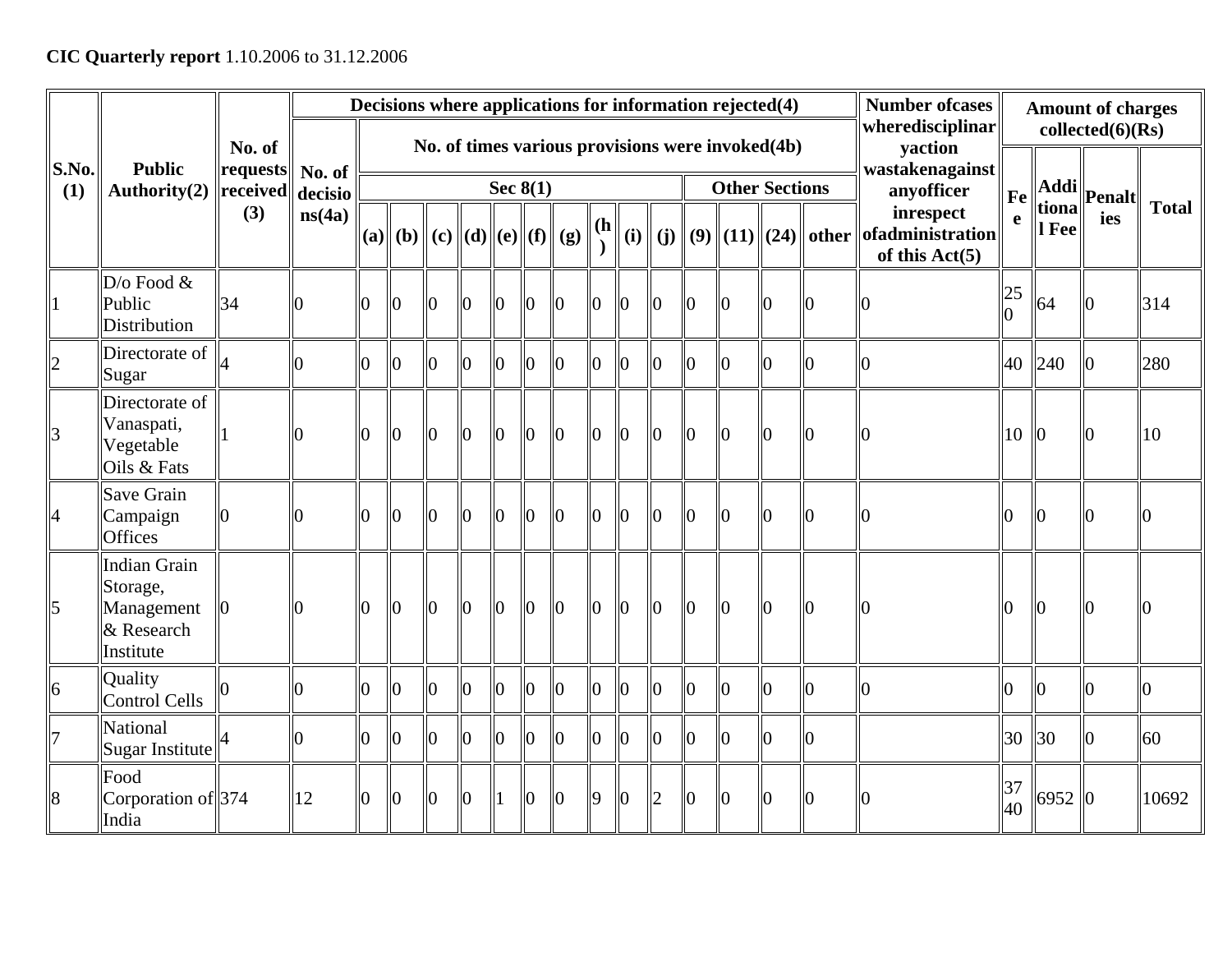|                |                                                                   |                           |        |                 |                                      |                      |                |                 |                |                |                 |                |                |              | Decisions where applications for information rejected(4) |                |          | <b>Number ofcases</b><br>wheredisciplinar                                                                        |                    |                | <b>Amount of charges</b><br>collected(6)(Rs)         |              |
|----------------|-------------------------------------------------------------------|---------------------------|--------|-----------------|--------------------------------------|----------------------|----------------|-----------------|----------------|----------------|-----------------|----------------|----------------|--------------|----------------------------------------------------------|----------------|----------|------------------------------------------------------------------------------------------------------------------|--------------------|----------------|------------------------------------------------------|--------------|
| S.No.          | <b>Public</b>                                                     | No. of<br>requests No. of |        |                 |                                      |                      |                |                 |                |                |                 |                |                |              | No. of times various provisions were invoked(4b)         |                |          | yaction<br>wastakenagainst                                                                                       |                    |                |                                                      |              |
| (1)            | Authority(2)                                                      | received decisio<br>(3)   | ns(4a) |                 | (a) $\ (b)\ (c)\ (d)\ (e)\ (f)\ (g)$ |                      |                | Sec $8(1)$      |                |                | (h)             | (i)            | (j)            |              | <b>Other Sections</b>                                    |                |          | anyofficer<br>inrespect<br>$\big\  (9) \big\  (11) \big\  (24) \big\ $ other $\big\ $ of administration $\big\ $ | Fe<br>$\mathbf{e}$ | tiona<br>1 Fee | $\mathbb{E} \mathbf{Addi}\ \mathbf{Penalt}\ $<br>ies | <b>Total</b> |
|                |                                                                   |                           |        |                 |                                      |                      |                |                 |                |                |                 |                |                |              |                                                          |                |          | of this $Act(5)$                                                                                                 |                    |                |                                                      |              |
|                | D/o Food $&$<br>Public<br>Distribution                            | 34                        |        | $\overline{0}$  | $\overline{0}$                       | $\vert$ <sub>0</sub> | $\overline{0}$ | $\mathbf{I}$    | $\overline{0}$ | $\Omega$       | 10              | 0              | 0              | 0            | $\overline{0}$                                           | $\Omega$       |          |                                                                                                                  | 25<br>$\Omega$     | 64             |                                                      | 314          |
| $\overline{2}$ | Directorate of<br>Sugar                                           |                           | 0      | $\overline{0}$  | $\overline{0}$                       | $\overline{0}$       | $\overline{0}$ | $\vert\vert$ 0  | $\overline{0}$ | $\overline{0}$ | $ 0\rangle$     | $\overline{0}$ | $\overline{0}$ | $\mathbf{0}$ | $\overline{0}$                                           | $\overline{0}$ | Ю        |                                                                                                                  | 40                 | 240            | 0                                                    | 280          |
| $\beta$        | Directorate of<br>Vanaspati,<br>Vegetable<br>Oils & Fats          |                           |        | $\vert 0 \vert$ | $\overline{0}$                       | $\overline{0}$       | $\overline{0}$ | $\parallel$ 0   | $\overline{0}$ | $\Omega$       | $\overline{0}$  | $\Omega$       | $\overline{0}$ | 0            | $\overline{0}$                                           | l0             |          |                                                                                                                  | 10                 | $\overline{0}$ |                                                      | 10           |
| $\overline{A}$ | Save Grain<br>Campaign<br><b>Offices</b>                          | O.                        |        | $\Omega$        | $\overline{0}$                       | $\overline{0}$       | $\overline{0}$ | IО              | $\Omega$       | $\Omega$       | l0              | $\Omega$       | <sup>0</sup>   | <sup>0</sup> | $\overline{0}$                                           | n              |          |                                                                                                                  |                    |                |                                                      |              |
| 5              | Indian Grain<br>Storage,<br>Management<br>& Research<br>Institute |                           |        | $\overline{0}$  | $\overline{0}$                       | $\overline{0}$       | $\overline{0}$ | $\overline{0}$  | $\overline{0}$ | $\Omega$       | $\overline{0}$  | $\Omega$       | <sup>0</sup>   | <sup>0</sup> | $\overline{0}$                                           | n              |          |                                                                                                                  |                    |                |                                                      |              |
| 6              | Quality<br>Control Cells                                          |                           | 0      | $\overline{0}$  | $\overline{0}$                       | $\overline{0}$       | $\overline{0}$ | 10              | $\overline{0}$ | 0              | 10              | 0              | 0              | 0            | $\overline{0}$                                           | $\overline{0}$ | $\Omega$ |                                                                                                                  | 0                  |                | 0                                                    | Ю            |
|                | National<br>Sugar Institute                                       |                           | 0      | $\overline{0}$  | $\overline{0}$                       | $\overline{0}$       | $\overline{0}$ | $\vert 0 \vert$ | $\overline{0}$ | $\overline{0}$ | $\vert 0 \vert$ | Ю              | 0              | $\bf{0}$     | $\overline{0}$                                           | $\overline{0}$ | 10       |                                                                                                                  | 30                 | $\vert$ 30     |                                                      | 60           |
|                | Food<br>Corporation of 374<br>India                               |                           | 12     | $\overline{0}$  | $\overline{0}$                       | $\overline{0}$       | $\overline{0}$ |                 |                | 0              | 9               |                |                |              | $\overline{0}$                                           | 0              |          |                                                                                                                  | 37<br>40           | 6952 0         |                                                      | 10692        |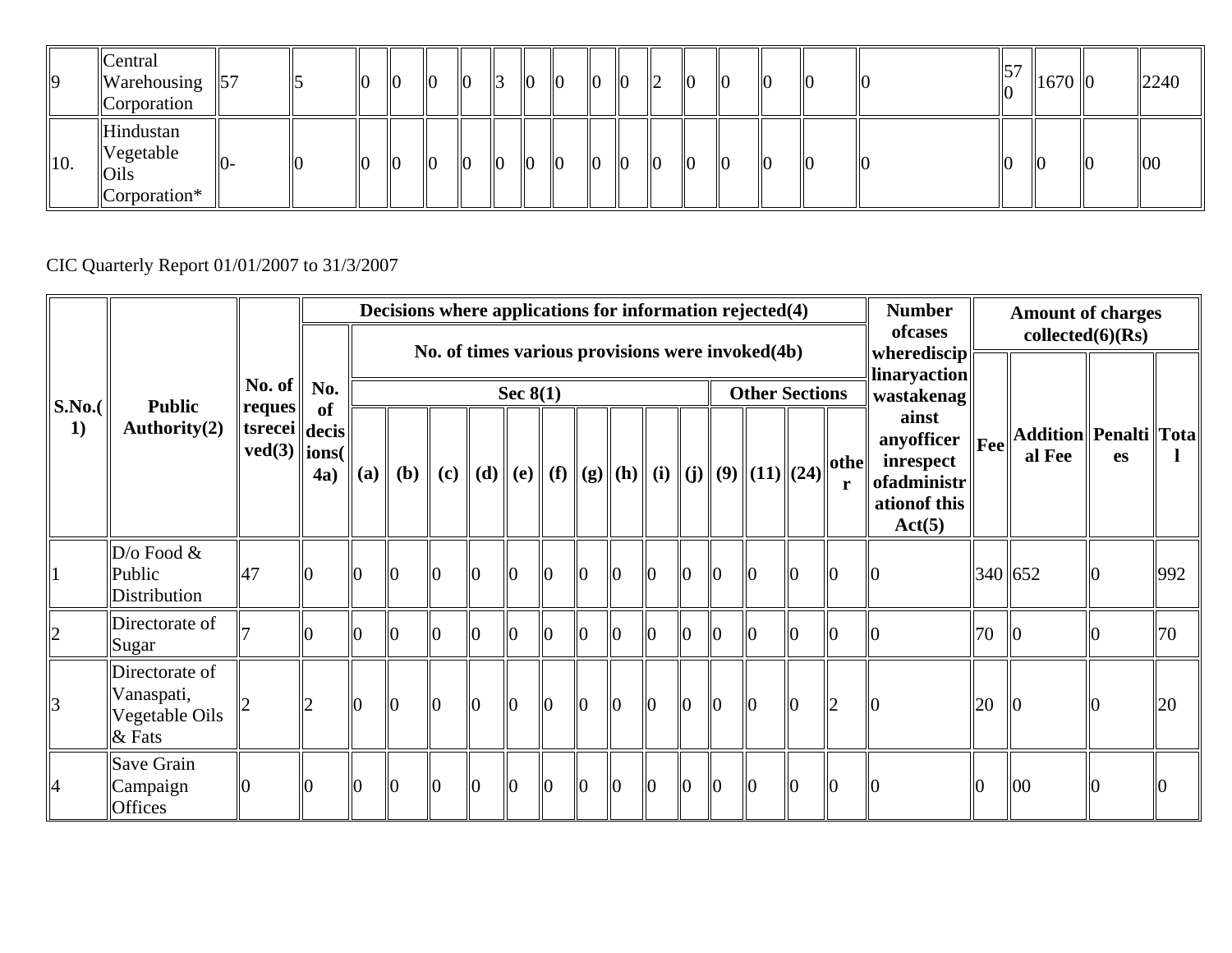| 9               | Central<br>Warehousing  57<br>Corporation                | ll5           | $\overline{0}$ | $\parallel$ 0 | $\overline{10}$ | $\overline{0}$ | $\parallel$ 3 | $\parallel$ 0 | $\vert\vert$ <sup>0</sup> | $\parallel$ 0 | $\parallel$ 0 | 2             | $\overline{10}$ | $\parallel$ 0 | $\parallel$ 0 | $\overline{0}$ | $\parallel 5^{\circ}$<br>$\overline{0}$ | $1670$   0     | 2240 |
|-----------------|----------------------------------------------------------|---------------|----------------|---------------|-----------------|----------------|---------------|---------------|---------------------------|---------------|---------------|---------------|-----------------|---------------|---------------|----------------|-----------------------------------------|----------------|------|
| $\parallel$ 10. | Hindustan<br>Vegetable<br><b>Oils</b><br>$ Corporation*$ | $\parallel 0$ | $\parallel$ 0  | $\sqrt{0}$    | $\overline{0}$  | $ 0\rangle$    | $\parallel$ 0 | $\parallel$ 0 | $\parallel$ 0             | $\parallel$ 0 | $\parallel$ 0 | $\parallel$ 0 | 0               | $\parallel$ 0 | $\parallel$ 0 | 10             |                                         | $\overline{0}$ | 00   |

CIC Quarterly Report 01/01/2007 to 31/3/2007

|             |                                                            |                                                                                     |                  |                | Decisions where applications for information rejected(4) |                |    |            |                 |                 |                      |           |                |                |                                                                                                                                                       |                |                | <b>Number</b><br>ofcases                                                                                                |         | <b>Amount of charges</b><br>collected(6)(Rs) |           |     |
|-------------|------------------------------------------------------------|-------------------------------------------------------------------------------------|------------------|----------------|----------------------------------------------------------|----------------|----|------------|-----------------|-----------------|----------------------|-----------|----------------|----------------|-------------------------------------------------------------------------------------------------------------------------------------------------------|----------------|----------------|-------------------------------------------------------------------------------------------------------------------------|---------|----------------------------------------------|-----------|-----|
| S.No.<br>1) | <b>Public</b><br>Authority(2)                              | No. of<br>reques<br>  tsrecei   decis  <br>$\Vert \text{ved}(3) \Vert \text{ions}($ | No.<br>of<br>4a) | (a)            | (b)                                                      | (c)            |    | Sec $8(1)$ |                 |                 |                      |           |                |                | No. of times various provisions were invoked(4b)<br><b>Other Sections</b><br>$\ (d)\ $ (e) $\ (f)\ $ (g) $\ (h)\ $ (i) $\ (j)\ $ (9) $\ (11)\ (24)\ $ |                | othe           | wherediscip<br>linaryaction<br>wastakenag<br>ainst<br>anyofficer<br>inrespect<br>ofadministr<br>ation of this<br>Act(5) | Fee     | Addition  Penalti  Tota <br>al Fee           | <b>es</b> |     |
|             | $D$ o Food &<br>$\mathbf{P}$ ublic<br>Distribution         | 47                                                                                  |                  | $\overline{0}$ |                                                          | ll0            | 10 | $\Omega$   | $\overline{10}$ | $\overline{10}$ | $\overline{0}$       | 10        | 10             | $ 0\rangle$    |                                                                                                                                                       | $\overline{0}$ |                |                                                                                                                         | 340 652 |                                              |           | 992 |
|             | Directorate of<br>Sugar                                    |                                                                                     |                  | $\overline{0}$ |                                                          |                |    |            |                 | $\overline{0}$  | $\overline{0}$       |           |                |                |                                                                                                                                                       |                |                |                                                                                                                         | 70      |                                              |           | 70  |
|             | Directorate of<br>Vanaspati,<br>Vegetable Oils<br>$&$ Fats |                                                                                     | 12               | $\overline{0}$ | $\overline{0}$                                           | $\overline{0}$ | lo |            | $\overline{10}$ | $\overline{10}$ | $\overline{0}$       | $\Omega$  | $\overline{0}$ | $\overline{0}$ |                                                                                                                                                       | $\overline{0}$ | $\overline{2}$ |                                                                                                                         | 20      |                                              |           | 20  |
|             | Save Grain<br>Campaign<br><b>Offices</b>                   | Ю                                                                                   |                  | $\overline{0}$ | IЮ                                                       | IЮ             | 10 |            | $\overline{0}$  | $\overline{10}$ | $\vert$ <sub>0</sub> | <b>IO</b> | $\overline{0}$ | $ 0\rangle$    | $\mathbb{I}^0$                                                                                                                                        | $\overline{0}$ | $\overline{0}$ |                                                                                                                         |         | 00                                           |           |     |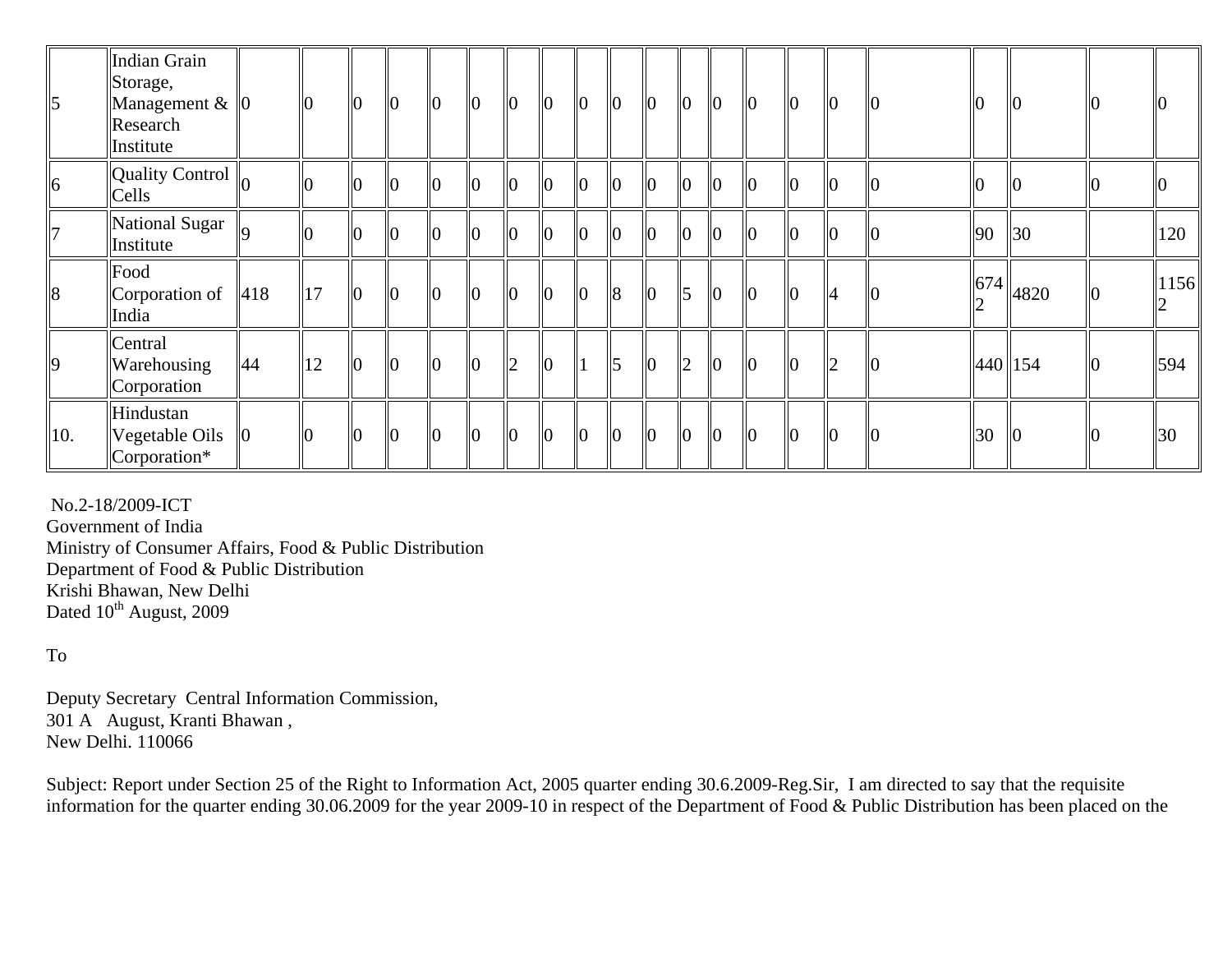| $\overline{5}$ | Indian Grain<br>Storage,<br>Management $\&$ $\ 0\ $<br>Research<br>Institute |    | 110            | $\overline{0}$ | $\mathbf{0}$   | $\overline{0}$ | $\overline{0}$ | $\parallel$ 0   | $\vert\vert$ 0       | $\parallel$ 0  | $\vert$ <sub>0</sub> | $\overline{0}$ | $\overline{0}$            | $\mathbf{I}$   | $\overline{0}$       | $ 0\rangle$     | $ 0\rangle$          | llo            |              | Ю    |     |              |
|----------------|------------------------------------------------------------------------------|----|----------------|----------------|----------------|----------------|----------------|-----------------|----------------------|----------------|----------------------|----------------|---------------------------|----------------|----------------------|-----------------|----------------------|----------------|--------------|------|-----|--------------|
| $\vert \vert$  | Quality Control<br>Cells                                                     |    |                | $\overline{0}$ | $\overline{0}$ | $\overline{0}$ | $\overline{0}$ | $\overline{10}$ | $\overline{0}$       | $\overline{0}$ | $\parallel$ 0        | $\overline{0}$ | llo                       | $\overline{0}$ | $\overline{0}$       |                 | $\vert$ <sub>0</sub> | llo            |              |      |     |              |
|                | National Sugar<br>Institute                                                  |    |                | $\overline{0}$ | $\overline{0}$ | $\overline{0}$ | $\overline{0}$ | $\parallel$ 0   | $\overline{0}$       | $\parallel$ 0  | $\vert\vert_0$       | $\mathbf{I}$   | $\overline{0}$            | $\mathbf{I}$   | $\vert$ <sub>0</sub> | $ 0\rangle$     | $\parallel$ 0        | $\overline{0}$ | 90           | 30   |     | 120          |
| 8              | Food<br>Corporation of $\ 418\ $<br>India                                    |    | $\parallel$ 17 | $\overline{0}$ | $\overline{0}$ | llo            | $\overline{0}$ | $\parallel$ 0   | $\vert$ <sub>0</sub> | $\mathbf{I}$   | $\mathsf{I}8$        | $\overline{0}$ | $\mathsf{I}$ <sub>5</sub> | $\overline{0}$ | $\overline{0}$       | $\overline{0}$  | $\vert\vert$ 4       | IЮ             | 674          | 4820 | IO) | 1156         |
| 9              | Central<br>Warehousing<br>Corporation                                        | 44 | 12             | $\overline{0}$ | $\overline{0}$ | llo            | $\bf{0}$       | 2               | $\vert$ <sub>0</sub> |                | $\sqrt{5}$           | $\overline{0}$ | $\vert$ <sub>2</sub>      | $\mathbf{I}$   | $\overline{0}$       | $ 0\rangle$     | $\vert$ 2            | llo            | $\ 440\ 154$ |      | IЮ  | 594          |
| $\vert 10.$    | Hindustan<br>Vegetable Oils<br>Corporation*                                  | 0  | ll0            | $\overline{0}$ | $\overline{0}$ | $\overline{0}$ | $\overline{0}$ | $\parallel$ 0   | $\overline{0}$       | $\overline{0}$ | $ 0\rangle$          | $\overline{0}$ | $\overline{0}$            | 10             | $\overline{0}$       | $\overline{10}$ | $\mathsf{I}$ lo      | llo            | 30           |      |     | $ 30\rangle$ |

 No.2-18/2009-ICT Government of India Ministry of Consumer Affairs, Food & Public Distribution Department of Food & Public Distribution Krishi Bhawan, New Delhi Dated 10<sup>th</sup> August, 2009

### To

Deputy Secretary Central Information Commission, 301 A August, Kranti Bhawan , New Delhi. 110066

Subject: Report under Section 25 of the Right to Information Act, 2005 quarter ending 30.6.2009-Reg.Sir, I am directed to say that the requisite information for the quarter ending 30.06.2009 for the year 2009-10 in respect of the Department of Food & Public Distribution has been placed on the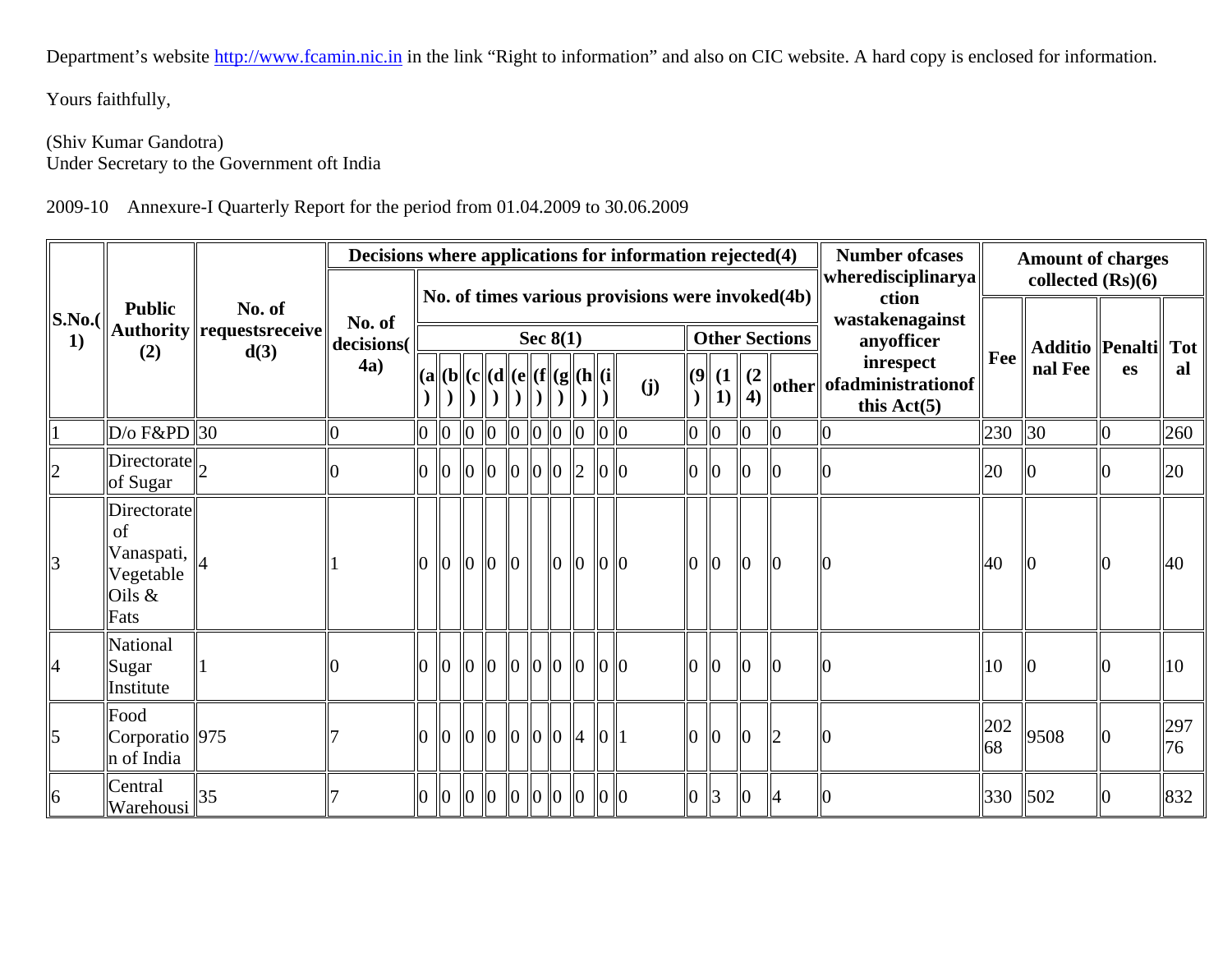Department's website http://www.fcamin.nic.in in the link "Right to information" and also on CIC website. A hard copy is enclosed for information.

Yours faithfully,

#### (Shiv Kumar Gandotra) Under Secretary to the Government oft India

#### 2009-10 Annexure-I Quarterly Report for the period from 01.04.2009 to 30.06.2009

|                             |                                                                |                                     | Decisions where applications for information rejected(4) |  |                |                                                                                                                              |                  |                      |                                 |                                 |                                                  |                |                 |                       | <b>Number ofcases</b><br>wheredisciplinarya                              |           | <b>Amount of charges</b> |                           |           |
|-----------------------------|----------------------------------------------------------------|-------------------------------------|----------------------------------------------------------|--|----------------|------------------------------------------------------------------------------------------------------------------------------|------------------|----------------------|---------------------------------|---------------------------------|--------------------------------------------------|----------------|-----------------|-----------------------|--------------------------------------------------------------------------|-----------|--------------------------|---------------------------|-----------|
| $\vert$ S.No.( $\vert\vert$ | <b>Public</b>                                                  | No. of<br>Authority requestsreceive | No. of                                                   |  |                |                                                                                                                              |                  |                      |                                 |                                 | No. of times various provisions were invoked(4b) |                |                 |                       | ction<br>wastakenagainst                                                 |           | collected $(Rs)(6)$      |                           |           |
| 1)                          | (2)                                                            | d(3)                                | decisions(<br>4a)                                        |  |                | $\big  \text{(a} \  \text{(b} \  \text{(c} \  \text{(d} \  \text{(e} \  \text{(f} \  \text{(g} \  \text{(h} \  \text{(i} \ $ |                  | Sec $8(1)$           |                                 |                                 | (j)                                              | (9   (1    (2  | 1) 4)           | <b>Other Sections</b> | anyofficer<br>inrespect<br>  other  ofadministrationof <br>this $Act(5)$ | Fee       | nal Fee                  | Additio Penalti Tot<br>es | al        |
|                             | $D$ /o F&PD 30                                                 |                                     |                                                          |  | $\overline{0}$ | $\vert 0 \vert$                                                                                                              | $\boldsymbol{0}$ | $\ 0\ 0\ $           |                                 | 0 0                             |                                                  | $\bf{0}$       | $\vert 0 \vert$ |                       |                                                                          | 230       | 30                       | 110                       | 260       |
|                             | Directorate<br>of Sugar                                        |                                     |                                                          |  |                | $\ 0\ $                                                                                                                      |                  | $\ 0\ 0\ 0\ 2\ 0\ 0$ |                                 |                                 |                                                  | $\mathbb{I}_0$ | llO             |                       |                                                                          | 20        |                          |                           | 20        |
|                             | Directorate<br>of<br>Vanaspati,<br>Vegetable<br>Oils &<br>Fats |                                     |                                                          |  |                | $\ 0\ $                                                                                                                      | $\overline{10}$  |                      | $\overline{10}$ $\overline{10}$ | $\overline{10}$ $\overline{10}$ |                                                  | llo.           | $\overline{0}$  |                       |                                                                          | 40        |                          |                           | <b>40</b> |
|                             | National<br>Sugar<br>Institute                                 |                                     |                                                          |  |                | $\ 0\ $                                                                                                                      |                  | $\ 0\ 0\ 0\ $        |                                 | $\overline{0}$ $\overline{0}$   |                                                  | $\mathbf{I}$   | $\overline{0}$  |                       |                                                                          | 10        |                          |                           | 10        |
|                             | Food<br>Corporatio 975<br>n of India                           |                                     |                                                          |  |                | $\ 0\ $                                                                                                                      | $\overline{10}$  | $\ 0\ 0\ 4\ 0\ 1$    |                                 |                                 |                                                  | $\mathbb{I}_0$ | $\overline{0}$  |                       |                                                                          | 202<br>68 | 9508                     |                           | 297<br>76 |
|                             | Central<br>$\frac{1}{2}$ $\frac{1}{25}$                        |                                     |                                                          |  |                | $\ 0\ $                                                                                                                      |                  | $\ 0\ 0\ 0\ 0\ 0\ $  |                                 |                                 |                                                  | 13             | lЮ              | 4                     |                                                                          | 330       | 502                      | IO)                       | 832       |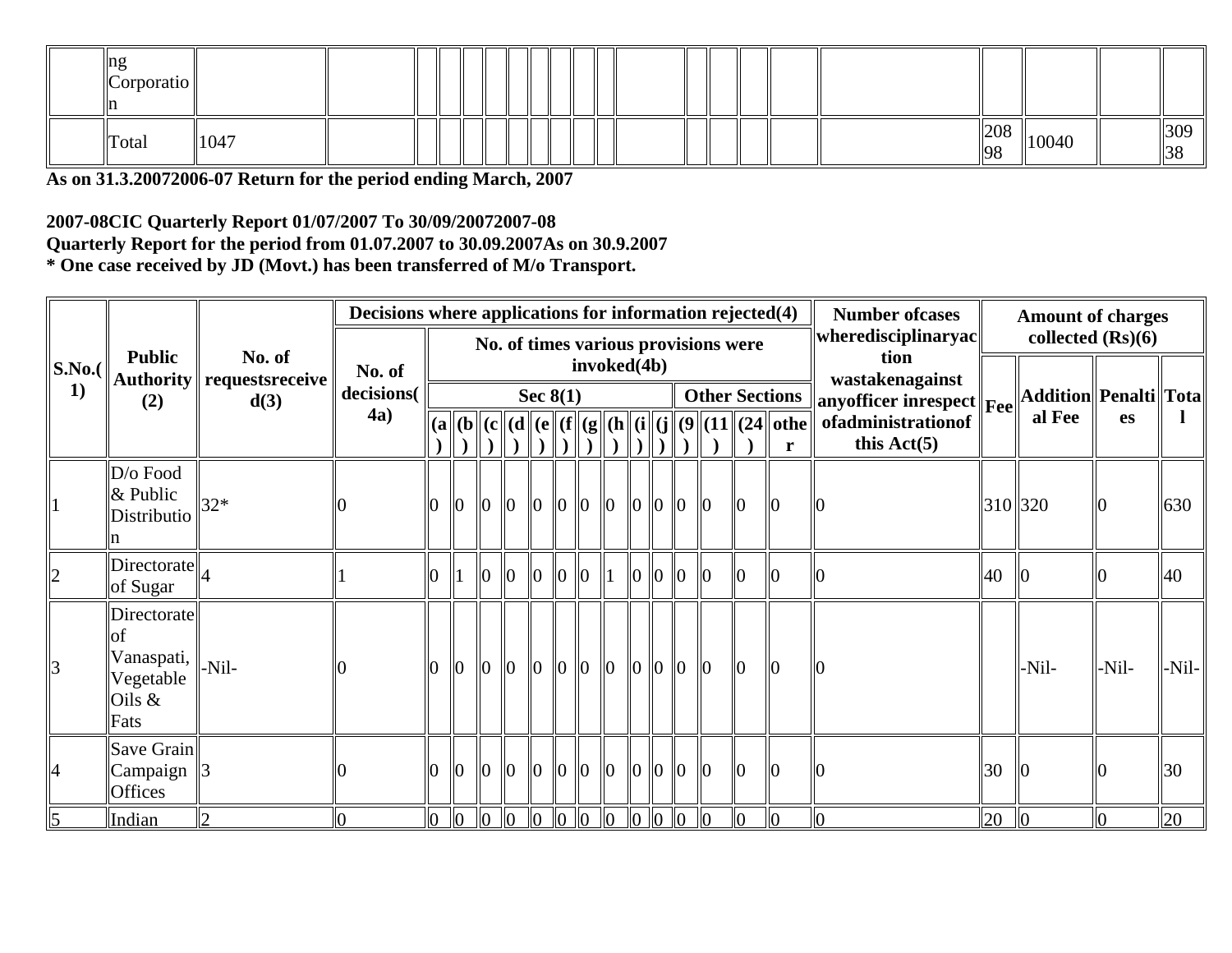| $\ln g$<br>Corporatio |      |  |  |  |  |  |  |  |            |       |     |
|-----------------------|------|--|--|--|--|--|--|--|------------|-------|-----|
| Total                 | 1047 |  |  |  |  |  |  |  | 208<br> 98 | 10040 | 309 |

As on 31.3.20072006-07 Return for the period ending March, 2007

# 2007-08CIC Quarterly Report 01/07/2007 To 30/09/20072007-08 Quarterly Report for the period from 01.07.2007 to 30.09.2007As on 30.9.2007<br>\* One case received by JD (Movt.) has been transferred of M/o Transport.

|       |                                                                                   |                                      | Decisions where applications for information rejected(4) |          |                |              |                 |                 |                           |               |     |                 |                |                |                                      |                                                                                                                                                                | <b>Number of cases</b>                                         |              | <b>Amount of charges</b> |           |       |
|-------|-----------------------------------------------------------------------------------|--------------------------------------|----------------------------------------------------------|----------|----------------|--------------|-----------------|-----------------|---------------------------|---------------|-----|-----------------|----------------|----------------|--------------------------------------|----------------------------------------------------------------------------------------------------------------------------------------------------------------|----------------------------------------------------------------|--------------|--------------------------|-----------|-------|
| S.No. | <b>Public</b>                                                                     | No. of                               |                                                          |          |                |              |                 |                 |                           | invoked(4b)   |     |                 |                |                | No. of times various provisions were |                                                                                                                                                                | wheredisciplinaryac  <br>tion                                  |              | collected $(Rs)(6)$      |           |       |
| 1)    | (2)                                                                               | Authority    requestsreceive<br>d(3) | No. of<br>decisions(                                     |          |                |              |                 | Sec $8(1)$      |                           |               |     |                 |                |                |                                      | <b>Other Sections</b>                                                                                                                                          | wastakenagainst<br>$\ $ anyofficer inrespect $\ _{\text{Fee}}$ |              | Addition Penalti Tota    |           |       |
|       |                                                                                   |                                      | 4a)                                                      |          |                |              |                 |                 |                           |               |     |                 |                |                |                                      | $\ ({\bf a}\ ({\bf b}\ ({\bf c}\ ({\bf d}\ ({\bf e}\ ({\bf f}\ ({\bf g}\ ({\bf h}\ ({\bf i}\ ({\bf j}\ ({\bf 9}\ ({\bf 11}\ ({\bf 24}\ {\bf othe}\ {\bf b})))$ | ofadministrationof<br>this $Act(5)$                            |              | al Fee                   | <b>es</b> |       |
|       | $\vert$ D/o Food<br>$\&$ Public<br>Distributio<br>$\ln$                           | $32*$                                |                                                          | $\Omega$ | $\overline{0}$ | $\mathbf{I}$ | $\overline{10}$ | $\ 0\ $ $\ 0\ $ |                           | $\parallel$ 0 | 0 0 |                 | $\overline{0}$ | $\overline{0}$ | $\mathbb{I}^0$                       | $\overline{10}$                                                                                                                                                |                                                                | $\ 310\ 320$ |                          | 10        | 630   |
|       | Directorate<br>of Sugar                                                           |                                      |                                                          |          |                | 10           | $\mathbb{I}^0$  | $\overline{0}$  | 10                        |               | 0 0 |                 | 0              | $\overline{0}$ | l0                                   | $\overline{10}$                                                                                                                                                |                                                                | 40           |                          |           | 40    |
|       | Directorate<br>$\log$<br>Vanaspati,<br>Vegetable<br>Oils $\&$<br>$\parallel$ Fats | -Nil-                                |                                                          |          | $\parallel$ 0  | $\ 0\ $      |                 | $\overline{0}$  | $\ 0\ $                   | $\parallel$ 0 | 0   |                 | 0              | $\overline{0}$ | $\mathbb{I}^0$                       | $\parallel$ 0                                                                                                                                                  | lЮ                                                             |              | -Nil-                    | -Nil-     | -Nil- |
|       | Save Grain<br>Campaign<br><b>Offices</b>                                          |                                      |                                                          | ll0.     | $\parallel$ 0  | $\ 0\ $      |                 | $\ 0\ $ $\ 0\ $ |                           | $\parallel$ 0 | 0 0 | $\overline{10}$ |                | $\parallel$ 0  | $\mathsf{I} \mathsf{I}$              | $\overline{10}$                                                                                                                                                |                                                                | 30           |                          |           | 30    |
|       | Indian                                                                            | $\overline{2}$                       |                                                          | 10       | $\parallel$ 0  | $\vert\vert$ | 10              | 0               | $\vert\vert$ <sup>0</sup> |               | 0   | 10              |                | 10             | $\mathbf{I}$                         | $\overline{10}$                                                                                                                                                |                                                                | $ 20\rangle$ | $\Omega$                 | 10        | 20    |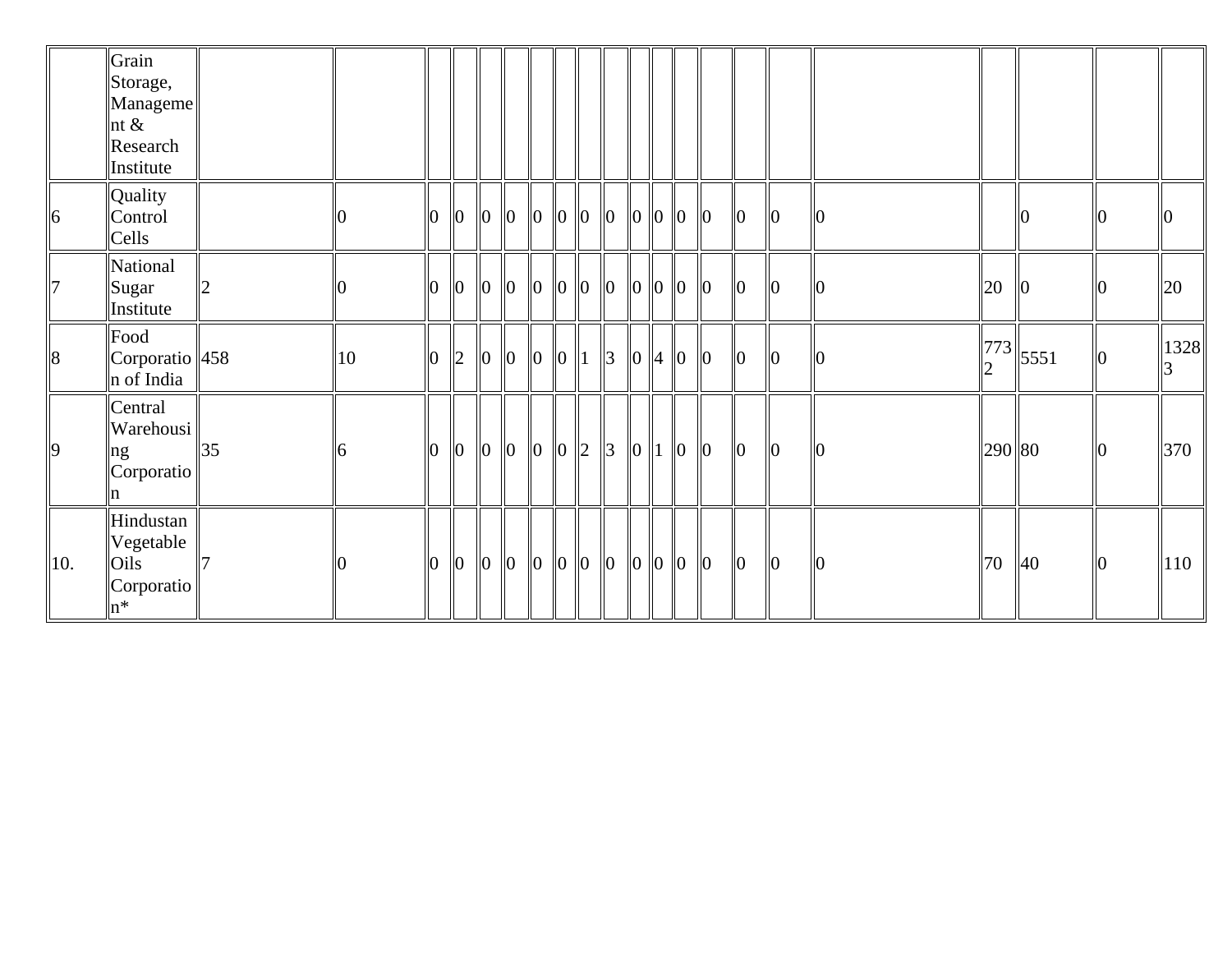|     | Grain<br>Storage,<br>Manageme<br>$\ln x$<br>Research<br>Institute |    |    |                |                      |                |             |                                         |                               |                   |  |   |                      |                      |    |        |                |                |            |
|-----|-------------------------------------------------------------------|----|----|----------------|----------------------|----------------|-------------|-----------------------------------------|-------------------------------|-------------------|--|---|----------------------|----------------------|----|--------|----------------|----------------|------------|
| 16  | Quality<br>Control<br>Cells                                       |    |    | $\overline{0}$ | $\overline{0}$       | $\ 0\ $        |             | $\ 0\ $ $\ 0\ $ $\ 0\ $ $\ 0\ $ $\ 0\ $ |                               |                   |  |   | $\vert$ <sub>0</sub> | $\vert$ <sub>0</sub> |    |        |                | lЮ             | 10         |
|     | National<br>Sugar<br>Institute                                    |    |    | $\overline{0}$ | $\ 0\ $              | $\ 0\ $        |             | $\ 0\ $ $\ 0\ $ $\ 0\ $ $\ 0\ $ $\ 0\ $ |                               |                   |  |   | $\overline{0}$       | 0                    |    | 20     | 10             | 10             | 20         |
|     | Food<br>Corporatio 458<br>n of India                              |    | 10 | $\overline{0}$ | 2                    | $\overline{0}$ | $ 0\rangle$ | $\ 0\ 0\ 1$                             |                               | $\ 3\ 0\ 4\ 0\ 0$ |  |   | $\parallel$ 0        | $\vert$ <sub>0</sub> | 0  |        | $\ 773\ $ 5551 | $\parallel 0$  | 1328<br>13 |
| 19  | Central<br>Warehousi<br>ng<br>Corporatio<br>m                     | 35 | 16 | 0              | $\vert$ <sup>0</sup> | $\overline{0}$ | $ 0\rangle$ | $\overline{0}$                          | $\vert 0 \vert \vert 2 \vert$ | $\ 3\ 0\ 1$       |  | 0 | $\parallel$ 0        | $ 0\rangle$          | Iθ | 290 80 |                | $\overline{0}$ | 370        |
| 10. | Hindustan<br>Vegetable<br>Oils<br>$\ $ Corporatio $\ $<br>$n^*$   |    |    | $\overline{0}$ | $\overline{0}$       | $\ 0\ $        |             | $\ 0\ $ $\ 0\ $ $\ 0\ $ $\ 0\ $ $\ 0\ $ |                               |                   |  |   | $\vert$ <sub>0</sub> | $\vert\vert_0$       |    | 70     | 40             | $\overline{0}$ | 110        |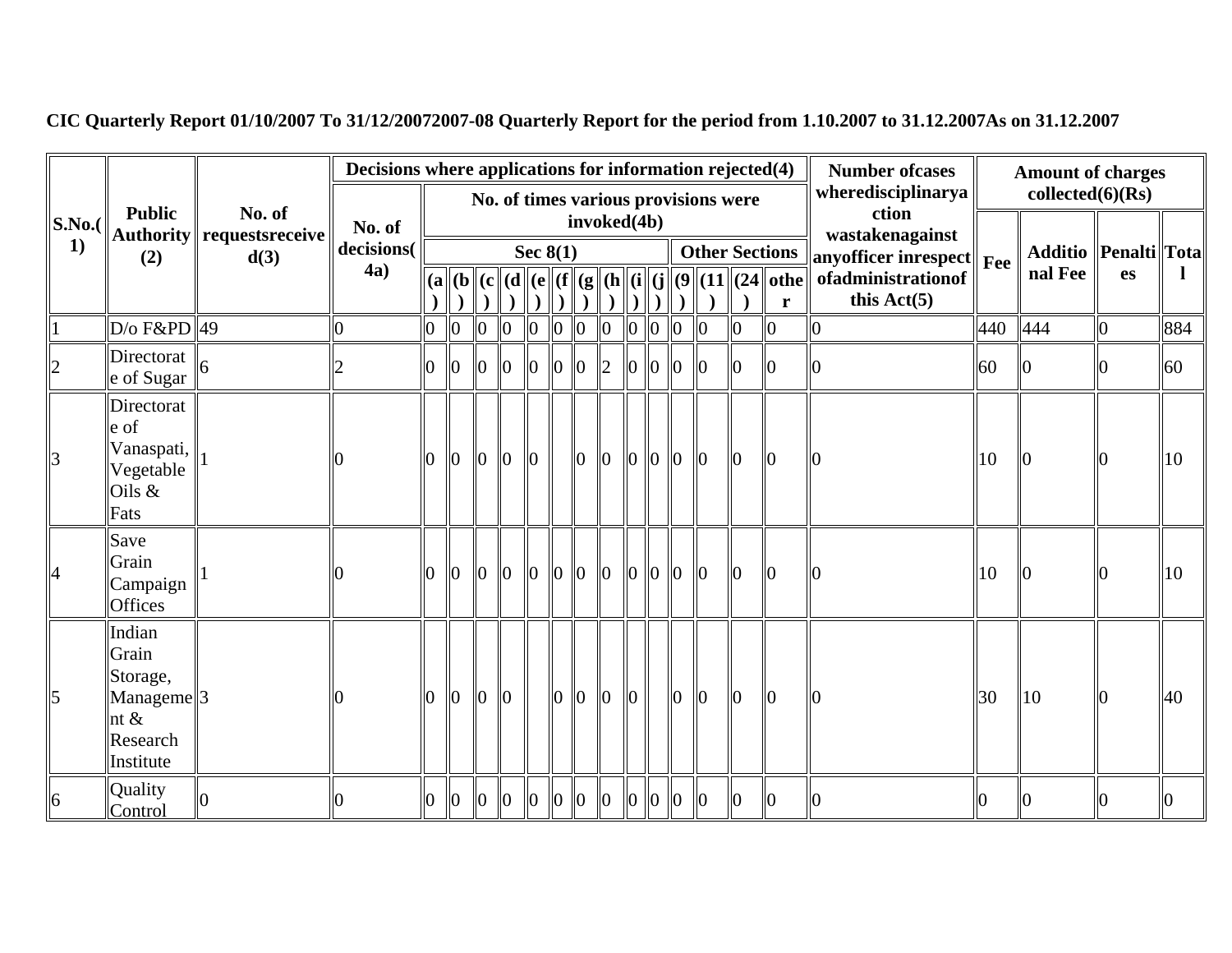|          |                                                                                          |                         | Decisions where applications for information rejected(4) |                |                |                |                |                |               |                |                 |                           |                           |                         |                                      |                                                                                                                                                                                                                                                                                                                                                                                                                                                                            | <b>Number ofcases</b>                                       |     | <b>Amount of charges</b>   |                |                  |
|----------|------------------------------------------------------------------------------------------|-------------------------|----------------------------------------------------------|----------------|----------------|----------------|----------------|----------------|---------------|----------------|-----------------|---------------------------|---------------------------|-------------------------|--------------------------------------|----------------------------------------------------------------------------------------------------------------------------------------------------------------------------------------------------------------------------------------------------------------------------------------------------------------------------------------------------------------------------------------------------------------------------------------------------------------------------|-------------------------------------------------------------|-----|----------------------------|----------------|------------------|
|          | <b>Public</b>                                                                            | No. of                  |                                                          |                |                |                |                |                | invoked(4b)   |                |                 |                           |                           |                         | No. of times various provisions were |                                                                                                                                                                                                                                                                                                                                                                                                                                                                            | wheredisciplinarya $\parallel$<br>ction                     |     | collected(6)(Rs)           |                |                  |
| $\bf{1}$ | $\ \mathbf{S}.\mathbf{No}.(\ \mathbf{Authority}\ )$<br>(2)                               | requestsreceive<br>d(3) | No. of<br>decisions(                                     |                |                |                | Sec $8(1)$     |                |               |                |                 |                           |                           |                         |                                      | <b>Other Sections</b>                                                                                                                                                                                                                                                                                                                                                                                                                                                      | wastakenagainst<br>any<br>officer in respect $\mathbf{Fee}$ |     | Additio    Penalti    Tota |                |                  |
|          |                                                                                          |                         | 4a)                                                      |                |                |                |                |                | $\lambda$     | $\mathcal{L}$  |                 | $\parallel$ ) $\parallel$ |                           |                         |                                      | $\boxed{(\textbf{a}\left \  (\textbf{b} \left \  (\textbf{c} \left \  (\textbf{c} \left \  (\textbf{c} \left \  (\textbf{c} \left \  (\textbf{c} \left \  (\textbf{b} \left \  (\textbf{i} \left \  (\textbf{j} \left \  (\textbf{b} \left \  (\textbf{j} \left \  (\textbf{j} \left \  (\textbf{j} \left \  (\textbf{j} \left \  (\textbf{j} \left \  (\textbf{j} \left \{ \right \} \left \{ \right \})))\right) \right) \right) \right) \right) \right) \right) )$<br>r | ofadministrationof<br>this $Act(5)$                         |     | nal Fee                    | es             |                  |
|          | $D$ /o F&PD 49                                                                           |                         |                                                          | $ 0\rangle$    |                | $\ 0\ $        | $\vert\vert$ 0 | $\ 0\ $        |               | $\ 0\ $        |                 |                           | $\ 0\ $                   | $\parallel$ 0           | $\vert\vert$ 0                       | $\overline{0}$                                                                                                                                                                                                                                                                                                                                                                                                                                                             |                                                             | 440 | 444                        | $\overline{0}$ | 884              |
|          | Directorat<br>e of Sugar                                                                 |                         |                                                          | $\mathbf{0}$   | $\overline{0}$ |                | $\overline{0}$ |                | 0 0           | $\vert$ 2      |                 |                           | $\overline{0}$            | $\overline{0}$          |                                      | $\Omega$                                                                                                                                                                                                                                                                                                                                                                                                                                                                   |                                                             | 60  |                            | IO)            | 60               |
|          | Directorat<br>e of<br>Vanaspati,<br>Vegetable<br>Oils &<br>Fats                          |                         |                                                          | $\overline{0}$ | $\Omega$       |                | $\overline{0}$ |                | $\parallel$ 0 | 0              | $\mathsf{I}$ lo | $\mathbb{I}^0$            | $\overline{0}$            | $\overline{0}$          | $\overline{0}$                       | n                                                                                                                                                                                                                                                                                                                                                                                                                                                                          |                                                             | 10  |                            | IO)            | 10 <sup>10</sup> |
|          | Save<br>Grain<br>Campaign<br><b>Offices</b>                                              |                         |                                                          | $\overline{0}$ | $\ 0\ $        |                | $\parallel$ 0  | $\ 0\ $        |               | $\mathbf{I}$   | $\vert\vert_0$  | $\parallel$ 0             | $\mathsf{I}$ <sub>0</sub> | $\mathsf{I} \mathsf{I}$ | $\overline{0}$                       | l0                                                                                                                                                                                                                                                                                                                                                                                                                                                                         |                                                             | 10  |                            |                | 10 <sup>10</sup> |
| 15       | Indian<br>Grain<br>Storage,<br>Manageme <sup> </sup>  3<br>nt &<br>Research<br>Institute |                         |                                                          | $\overline{0}$ | $\overline{0}$ | $\overline{0}$ |                | 0 0            |               | $\overline{0}$ | $\parallel$ 0   |                           | $ 0\rangle$               | lo                      | $\overline{0}$                       | llO.                                                                                                                                                                                                                                                                                                                                                                                                                                                                       |                                                             | 30  | 10                         | 10             | 40               |
| 16       | Quality<br>Control                                                                       |                         |                                                          | $\overline{0}$ | $\overline{0}$ | $\overline{0}$ | $\overline{0}$ | $\overline{0}$ | $\parallel$ 0 | 10             |                 | llo                       | $\overline{0}$            | IЮ                      |                                      | ll0                                                                                                                                                                                                                                                                                                                                                                                                                                                                        | $\Omega$                                                    | IO) |                            | $\Omega$       | Ю                |

**CIC Quarterly Report 01/10/2007 To 31/12/20072007-08 Quarterly Report for the period from 1.10.2007 to 31.12.2007As on 31.12.2007**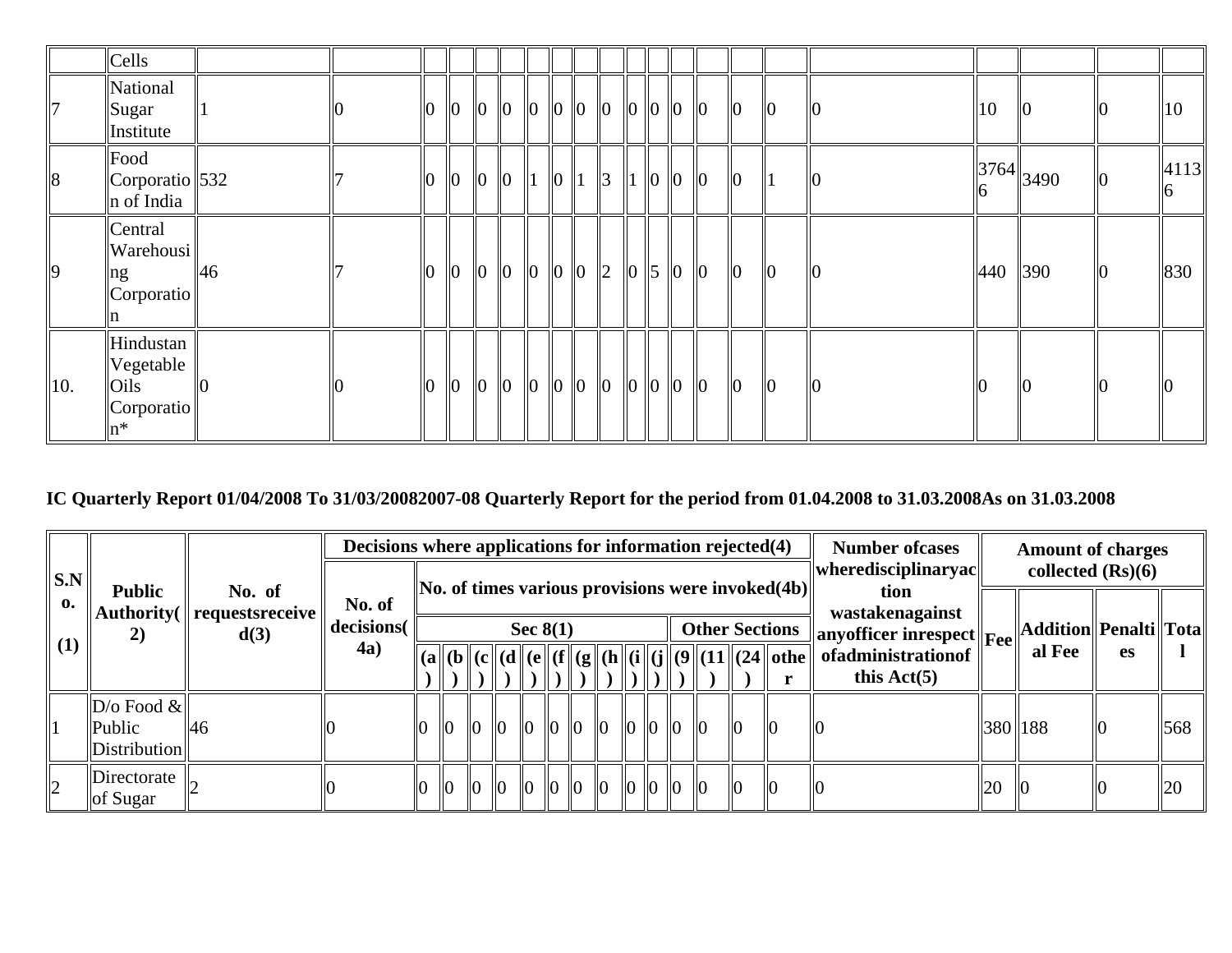|                 | Cells                                                          |              |                |                |                      |               |                 |            |             |                |                   |               |                |               |                |     |                   |                 |                         |
|-----------------|----------------------------------------------------------------|--------------|----------------|----------------|----------------------|---------------|-----------------|------------|-------------|----------------|-------------------|---------------|----------------|---------------|----------------|-----|-------------------|-----------------|-------------------------|
| 17              | National<br>Sugar<br>Institute                                 |              |                | $ 0\rangle$    | $\ 0\ $              | $ 0\rangle$   |                 | $\ 0\ 0\ $ |             | $\ 0\ 0\ 0\ $  |                   | $\parallel$ 0 | $\vert\vert_0$ | $\parallel$ 0 | $\overline{0}$ | 10  | $\overline{0}$    | ΙU              | 10                      |
| 8               | Food<br>$ Corporatio $ 532<br>$\ln$ of India                   |              | $\overline{0}$ | $\vert\vert$ 0 | $\vert$ <sub>0</sub> | $\parallel$ 0 | $\ 1\ 0\ 1$     |            |             | $\ 3\ 1\ 0\ 0$ |                   | $\parallel$ 0 | $\ 0\ $        | $\parallel$ 1 | $\overline{0}$ |     | $\ 3764\ _{3490}$ | Ю               | 4113<br>$6\overline{6}$ |
| $\vert$  9      | Central<br>Warehousi<br> ng <br> Corporatio                    | $ 46\rangle$ |                | $\vert\vert_0$ | $\ 0\ $              |               | $\ 0\ $ $\ 0\ $ |            |             | $\ 2\ 0$       | $\vert 5 \vert 0$ | $\parallel$ 0 | $\ 0\ $        | $\parallel$ 0 |                | 440 | 390               | $\vert 0 \vert$ | 830                     |
| $\parallel$ 10. | Hindustan<br>Vegetable<br><b>Oils</b><br> Corporatio <br>$n^*$ | IIO          |                | $\vert\vert_0$ | 0                    |               | $\ 0\ $ $\ 0\ $ |            | $ 0\rangle$ | $\ 0\ $        | $\parallel$ 0     | $\parallel$ 0 | $\ 0\ $        | $\parallel$ 0 |                |     |                   |                 | 10                      |

## IC Quarterly Report 01/04/2008 To 31/03/20082007-08 Quarterly Report for the period from 01.04.2008 to 31.03.2008As on 31.03.2008

|                           |                                                      |                                        | Decisions where applications for information rejected(4) |                |  |                |                 |                 |                 |              |                |                             |                 |                      |                                                            | <b>Number of cases</b>                                     |    | <b>Amount of charges</b> |           |     |
|---------------------------|------------------------------------------------------|----------------------------------------|----------------------------------------------------------|----------------|--|----------------|-----------------|-----------------|-----------------|--------------|----------------|-----------------------------|-----------------|----------------------|------------------------------------------------------------|------------------------------------------------------------|----|--------------------------|-----------|-----|
| $\vert$ S.N $\vert$<br>0. | <b>Public</b>                                        | No. of<br>Authority(   requestsreceive | No. of                                                   |                |  |                |                 |                 |                 |              |                |                             |                 |                      | $\ $ No. of times various provisions were invoked(4b) $\ $ | wheredisciplinaryac<br>tion<br>wastakenagainst             |    | collected $(Rs)(6)$      |           |     |
|                           |                                                      | d(3)                                   | decisions(                                               |                |  |                | Sec $8(1)$      |                 |                 |              |                |                             |                 |                      | <b>Other Sections</b>                                      | $_{4}$  anyofficer inrespect $\Vert_{\text{Fee}}\Vert^{2}$ |    | Addition  Penalti   Tota |           |     |
| (1)                       |                                                      |                                        | 4a)                                                      |                |  |                |                 |                 |                 |              |                |                             |                 |                      | (a  (b  (c  (d  (e  (f  (g  (h  (i  (j  (9  (11  (24  othe | ofadministrationof<br>this $Act(5)$                        |    | al Fee                   | <b>es</b> |     |
|                           | $\Vert$ D/o Food & $\Vert$<br>Public<br>Distribution | 146                                    |                                                          | IO             |  | $\mathbf{I}$   | $\overline{10}$ | $\overline{10}$ | $\overline{10}$ | $\mathbf{I}$ | $\Omega$       | $\parallel$ 0 $\parallel$ 0 | $\overline{10}$ | $\overline{0}$       | 10                                                         |                                                            |    | 380 188                  | 10        | 568 |
| 2                         | $\vert$ Directorate $\vert$<br>of Sugar              |                                        |                                                          | $\overline{0}$ |  | $\vert\vert_0$ | $ 0\rangle$     | $\parallel$ 0   | $\parallel$ 0   | $\mathbf{I}$ | $\overline{0}$ | $\ 0\ $ $\ 0\ $             |                 | $\vert$ <sub>0</sub> | $\vert\vert_0$                                             |                                                            | 20 |                          |           | 20  |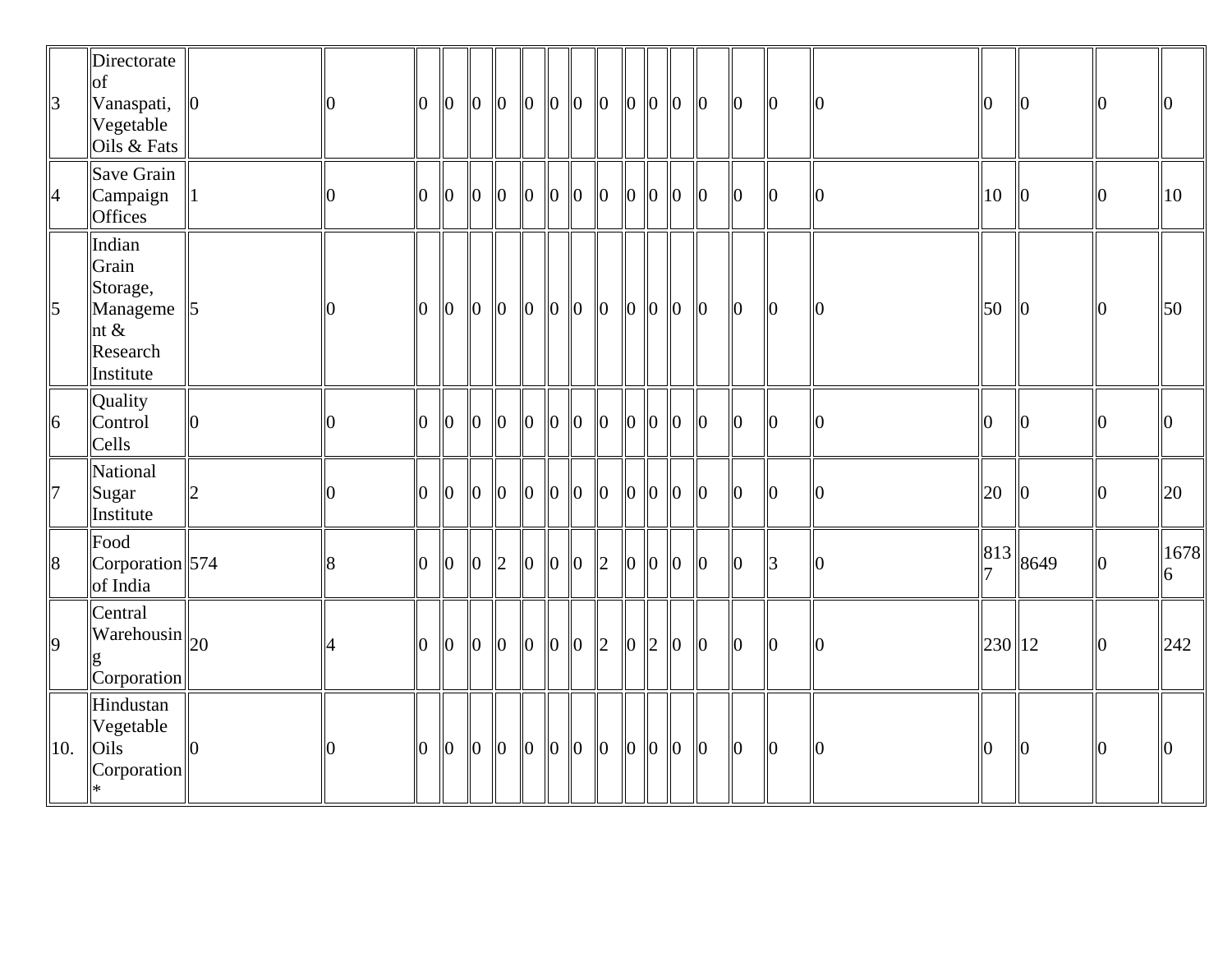| 3   | Directorate<br>of<br>Vanaspati,<br>Vegetable<br>Oils & Fats                 | $\vert\vert$ 0 |   | 10             | $\overline{0}$  | $\parallel$ 0            | $\vert$ <sub>0</sub> | $\vert\vert_0$       | $\ 0\ $        |                | $ 0\rangle$               |                      | 0 0 0                         | $\overline{0}$       | $\vert$ <sub>0</sub> | $ 0\rangle$          | Ю              | $\overline{0}$ | Ю               |                | $\overline{0}$ |
|-----|-----------------------------------------------------------------------------|----------------|---|----------------|-----------------|--------------------------|----------------------|----------------------|----------------|----------------|---------------------------|----------------------|-------------------------------|----------------------|----------------------|----------------------|----------------|----------------|-----------------|----------------|----------------|
| 4   | Save Grain<br>Campaign<br>Offices                                           |                | 0 | 10             | $\overline{0}$  | $\ 0\ $                  | $\overline{0}$       | $\vert$ <sub>0</sub> | $\overline{0}$ | $\overline{0}$ | $\vert\vert_0$            | $ 0\rangle$          | $\ 0\ $                       | $\vert$ <sub>0</sub> | $\parallel$          | $\vert$ <sub>0</sub> | $\overline{0}$ | 10             | $\vert\vert$ 0  | $\bf{0}$       | 10             |
| 5   | Indian<br>Grain<br>Storage,<br>Manageme<br>nt $\&$<br>Research<br>Institute | 5              |   | lo             | $0 \parallel 0$ |                          | $ 0\rangle$          | $ 0\rangle$          | $\ 0\ $        |                | $ 0\rangle$               |                      | 0 0                           | $\overline{0}$       | $\parallel$ 0        | $\overline{0}$       | $\bf{0}$       | 50             | $\vert 0 \vert$ |                | 50             |
| 6   | Quality<br>Control<br>Cells                                                 | $\overline{0}$ | 0 | 10             | $\overline{0}$  | $\parallel$ <sub>0</sub> | $\overline{0}$       | $\overline{0}$       | $\overline{0}$ | $\overline{0}$ | $\vert\vert$ <sup>O</sup> | $ 0\rangle$          | $\ 0\ $                       | $\overline{0}$       | $\overline{0}$       | $\mathbb{I}_0$       | $\Omega$       | $\overline{0}$ | IО              | n              | $\overline{0}$ |
|     | National<br>Sugar<br>Institute                                              |                | 0 | $\overline{0}$ | $\ 0\ $         |                          | $\vert$ <sub>0</sub> | $\vert$ <sub>0</sub> | $\mathbf{I}$   | $ 0\rangle$    | $\vert\vert_0$            | $\vert\vert_0$       | $\ 0\ $                       | $\vert$ <sub>0</sub> | $\mathbf{I}$         | $\overline{0}$       | $\overline{0}$ | 20             | $\overline{0}$  | $\overline{0}$ | 20             |
| 8   | Food<br>$\text{Corporation}$ 574<br>of India                                |                | 8 | lo             | $\overline{0}$  | $\parallel$ 0            | $\overline{2}$       | $\overline{0}$       | $\overline{0}$ | $ 0\rangle$    | $\vert$ <sub>2</sub>      | $\mathbf{I}$         | $\overline{0}$ $\overline{0}$ | $\overline{0}$       | $\overline{0}$       | $\overline{3}$       | $\Omega$       |                | $\ 813\ 8649$   | $\overline{0}$ | 1678<br>6      |
| 9   | Central<br>$\frac{1}{20}$<br>Corporation                                    |                | 4 | lo             | $\overline{0}$  | $\vert$ <sub>0</sub>     | $\vert$ <sub>0</sub> | $\ 0\ $              | $\mathbf{I}$   | $\ 0\ $        | $\vert$ <sub>2</sub>      | $\vert$ <sub>0</sub> | $\ 2\ $                       | $\overline{0}$       | $\vert$ <sub>0</sub> | $\overline{0}$       | $\Omega$       | $\ 230\ 12$    |                 | $\bf{0}$       | 242            |
| 10. | Hindustan<br>Vegetable<br>Oils<br>Corporation                               | $\overline{0}$ |   | 10             | $\overline{0}$  | $\parallel$ 0            | $\overline{0}$       | $\ 0\ $              | $\overline{0}$ | $\ 0\ $        | $ 0\rangle$               | $ 0\rangle$          | $\ 0\ $                       | $\vert$ <sub>0</sub> | $\vert$ <sub>0</sub> | $\overline{0}$       | $\overline{0}$ | $\overline{0}$ | Ю               |                | $\overline{0}$ |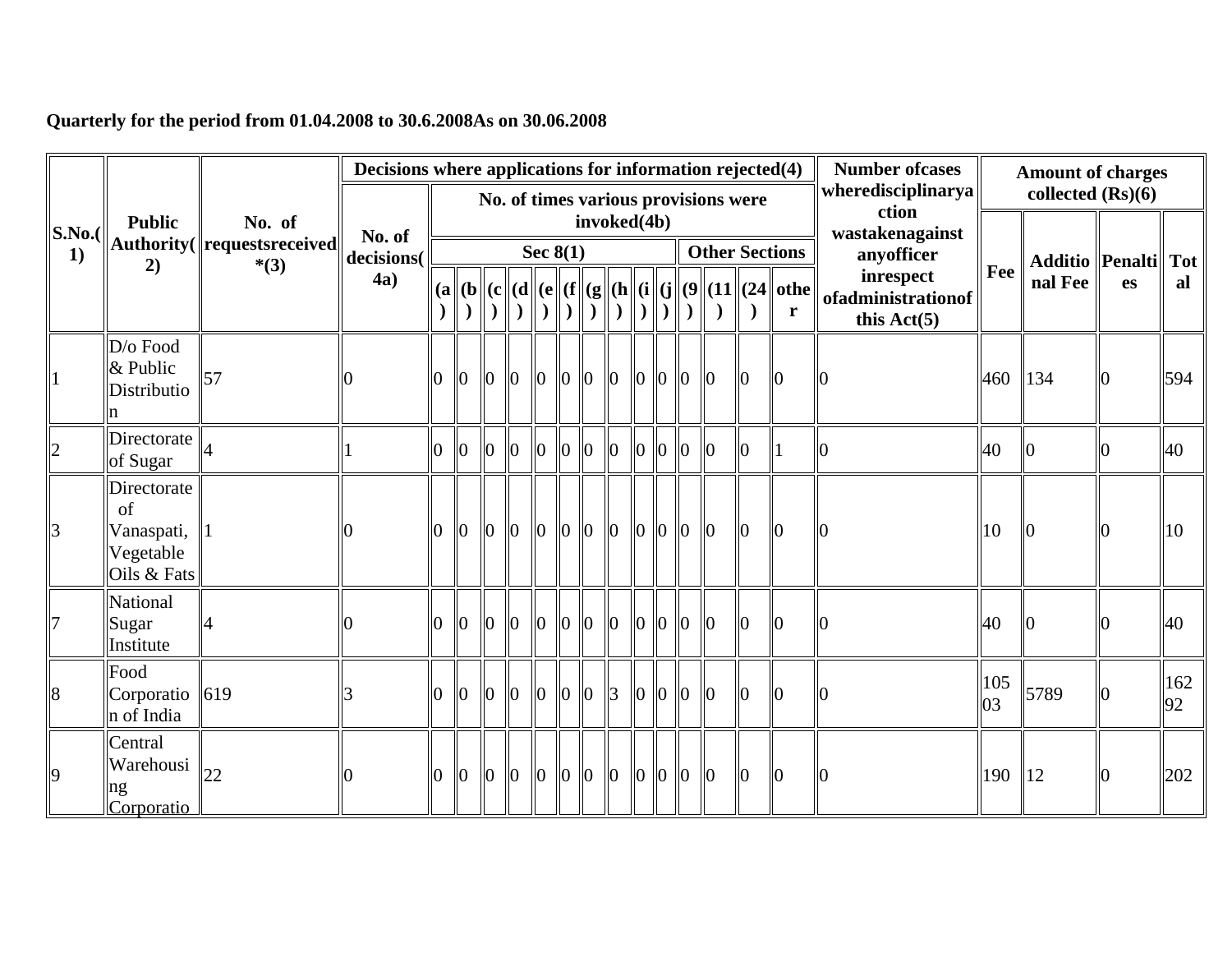|             |                                                             |                                                    | Decisions where applications for information rejected(4) |    |                      |                 |                      |                         |                 |                           |                |                |                                              |                 |                |                                      |                                                                                                                                                                     | <b>Number ofcases</b>                            |           | <b>Amount of charges</b> |    |           |
|-------------|-------------------------------------------------------------|----------------------------------------------------|----------------------------------------------------------|----|----------------------|-----------------|----------------------|-------------------------|-----------------|---------------------------|----------------|----------------|----------------------------------------------|-----------------|----------------|--------------------------------------|---------------------------------------------------------------------------------------------------------------------------------------------------------------------|--------------------------------------------------|-----------|--------------------------|----|-----------|
|             |                                                             |                                                    |                                                          |    |                      |                 |                      |                         |                 |                           |                |                |                                              |                 |                | No. of times various provisions were |                                                                                                                                                                     | wheredisciplinarya<br>ction                      |           | collected $(Rs)(6)$      |    |           |
| S.No.<br>1) | <b>Public</b><br>2)                                         | No. of<br>Authority(  requestsreceived  <br>$*(3)$ | No. of<br>decisions(                                     |    |                      |                 |                      | Sec $8(1)$              |                 |                           | invoked(4b)    |                |                                              |                 |                |                                      | <b>Other Sections</b>                                                                                                                                               | wastakenagainst<br>anyofficer                    |           | Additio Penalti Tot      |    |           |
|             |                                                             |                                                    | 4a)                                                      |    |                      |                 |                      |                         | 1               |                           | )              |                | )                                            | $\mathbb{D}$    | $\rightarrow$  |                                      | $\ ({\bf a}\ ({\bf b}\ ({\bf c}\ ({\bf d}\ ({\bf e}\ ({\bf f}\ ({\bf g}\ ({\bf h}\ ({\bf i}\ ({\bf j}\ ({\bf 9}\ ({\bf 1}\ ({\bf 24}\ {\bf othe}))$<br>$\mathbf{r}$ | inrespect<br>ofadministrationof<br>this $Act(5)$ | Fee       | nal Fee                  | es | al        |
|             | D/o Food<br>& Public<br>Distributio<br>n                    | $\overline{57}$                                    |                                                          |    | $\overline{0}$       | $\overline{0}$  | $\vert$ <sub>0</sub> | $\ 0\ $ $\ 0\ $ $\ 0\ $ |                 |                           |                |                | $\log$ $\log$                                |                 | $\mathsf{I}$   | $\mathbf{I}$                         |                                                                                                                                                                     |                                                  | 460       | $\parallel$ 134          |    | 594       |
|             | $\overline{\text{Directorate}}\ _4$<br>of Sugar             |                                                    |                                                          |    | $\overline{0}$       | $\overline{0}$  | $\Omega$             | $\overline{0}$          | $\vert\vert_0$  | $\overline{0}$            | $\overline{0}$ | $\overline{0}$ | $\overline{0}$                               | $\overline{0}$  | $\Omega$       | $\overline{0}$                       |                                                                                                                                                                     |                                                  | 40        | $\overline{0}$           |    | 40        |
|             | Directorate<br>of<br>Vanaspati,<br>Vegetable<br>Oils & Fats |                                                    |                                                          | 10 | $\overline{0}$       | $\overline{0}$  | $\overline{0}$       | $\vert\vert$ 0          | $\vert\vert$ 0  | $\overline{0}$            | $\ 0\ $        | $\overline{0}$ | $\overline{10}$                              | $\overline{10}$ | $\Omega$       | $ 0\rangle$                          | O.                                                                                                                                                                  |                                                  | 10        | -0                       |    | 10        |
|             | National<br>Sugar<br>Institute                              |                                                    |                                                          | Ю  | $\vert$ <sub>0</sub> | $\overline{10}$ | $\overline{0}$       | $\ 0\ $                 |                 | $\ 0\ $                   |                |                | llo llo llo                                  |                 | lo             | $\mathbf{I}$                         |                                                                                                                                                                     |                                                  | 40        | $\overline{0}$           |    | 40        |
|             | Food<br>Corporatio 619<br>n of India                        |                                                    |                                                          | Ю  | $\overline{0}$       | $\overline{0}$  | $\overline{0}$       | $\parallel$ 0           | $\overline{10}$ | $\mathbf{I}$ <sub>0</sub> | $\vert$ 3      |                | $\overline{0}$ $\overline{0}$ $\overline{0}$ |                 | $\overline{0}$ | $\overline{10}$                      |                                                                                                                                                                     |                                                  | 105<br>03 | 5789                     |    | 162<br>92 |
|             | Central<br>Warehousi<br>ng<br>Corporatio                    | 22                                                 |                                                          | Ю  | $\mathbb{I}^0$       | $\overline{10}$ | $\overline{0}$       | $\ 0\ $ $\ 0\ $ $\ 0\ $ |                 |                           |                |                | $\overline{0}$ $\overline{0}$ $\overline{0}$ |                 | $\mathbb{I}_0$ | $ 0\rangle$                          | <sup>0</sup>                                                                                                                                                        |                                                  | 190       | $\parallel$ 12           |    | 202       |

**Quarterly for the period from 01.04.2008 to 30.6.2008As on 30.06.2008**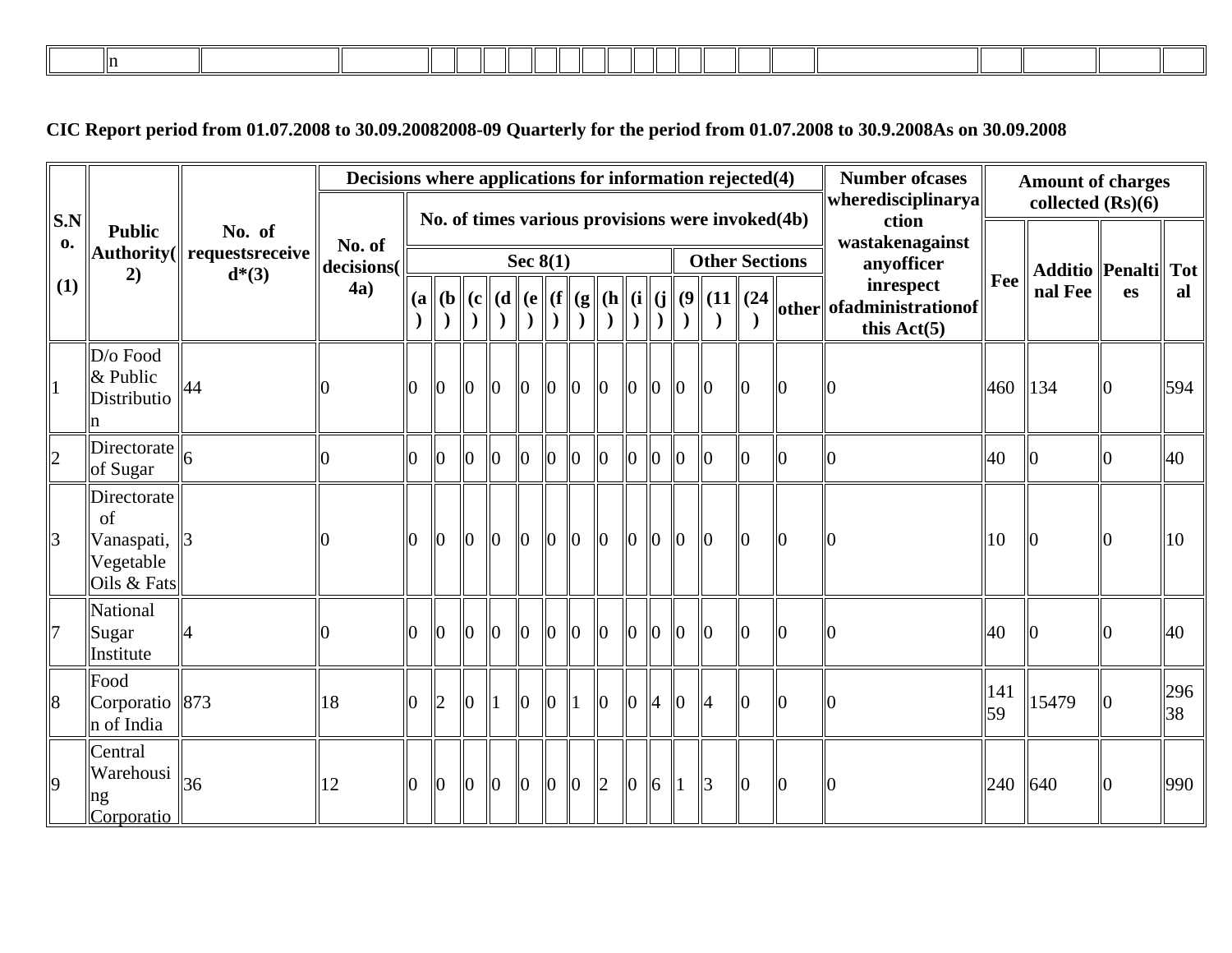| $\mathbf{m}$ |  |  |  |  |  |  |  |  |  |  |  |
|--------------|--|--|--|--|--|--|--|--|--|--|--|
|              |  |  |  |  |  |  |  |  |  |  |  |

|  |  |  |  |  | CIC Report period from 01.07.2008 to 30.09.20082008-09 Quarterly for the period from 01.07.2008 to 30.9.2008As on 30.09.2008 |  |  |  |
|--|--|--|--|--|------------------------------------------------------------------------------------------------------------------------------|--|--|--|
|  |  |  |  |  |                                                                                                                              |  |  |  |

|                  |                                                             |                                      | Decisions where applications for information rejected(4) |                  |                |                |                           |                |                             |                |                          |                          |                               |                                                 |                |                |                                                                           | <b>Number ofcases</b><br>wheredisciplinarya                                                                                                                          |               | <b>Amount of charges</b><br>collected $(Rs)(6)$ |    |           |
|------------------|-------------------------------------------------------------|--------------------------------------|----------------------------------------------------------|------------------|----------------|----------------|---------------------------|----------------|-----------------------------|----------------|--------------------------|--------------------------|-------------------------------|-------------------------------------------------|----------------|----------------|---------------------------------------------------------------------------|----------------------------------------------------------------------------------------------------------------------------------------------------------------------|---------------|-------------------------------------------------|----|-----------|
| S.N<br>0.<br>(1) | <b>Public</b><br>Authority(<br>2)                           | No. of<br>requestsreceive<br>$d*(3)$ | No. of<br>decisions(<br>4a)                              |                  |                |                | Sec $8(1)$                |                |                             |                | $\overline{\phantom{a}}$ |                          |                               |                                                 |                |                | No. of times various provisions were invoked(4b)<br><b>Other Sections</b> | ction<br>wastakenagainst<br>anyofficer<br>inrespect<br>(a    (b    (c    (d    (e    (f    (g    (h    (i    (j    (9    (11    (24    other    of administration of | Fee           | Additio Penalti Tot<br>nal Fee                  | es | al        |
|                  |                                                             |                                      |                                                          |                  |                |                | $\lambda$                 |                | $  \ \rangle   \ \rangle  $ |                |                          |                          | $\parallel$                   | $\left( \begin{array}{c} 1 \end{array} \right)$ |                |                |                                                                           | this $Act(5)$                                                                                                                                                        |               |                                                 |    |           |
|                  | D/o Food<br>& Public<br>Distributio                         | 44                                   |                                                          | $\overline{0}$   | $\overline{0}$ | $\overline{0}$ | $\vert\vert_0$            | $\overline{0}$ | $\overline{0}$              | $\ 0\ $        | $\vert\vert_0$           | $\parallel$ <sub>0</sub> |                               | $\mathsf{I}$ <sub>0</sub>                       | $\overline{0}$ | $\overline{0}$ |                                                                           |                                                                                                                                                                      | 460 134       |                                                 |    | 594       |
| 2                | $\overline{Director}$ ate $\parallel_6$<br>of Sugar         |                                      |                                                          | $\boldsymbol{0}$ | $\overline{0}$ | $\Omega$       |                           |                | $\overline{0}$              | $\vert\vert$ 0 | $\overline{0}$           | $\overline{0}$           |                               | $\mathbf{I}$ 0                                  | $\overline{0}$ | $\overline{0}$ | 10                                                                        |                                                                                                                                                                      | 40            |                                                 | IO | 40        |
| 3                | Directorate<br>of<br>Vanaspati,<br>Vegetable<br>Oils & Fats | R                                    |                                                          | $\overline{0}$   | 10             | $\overline{0}$ | $\vert\vert$ <sup>0</sup> | $\overline{0}$ | lo                          | $\parallel$ 0  | $ 0\rangle$              | $\parallel$ 0            |                               | $\overline{0}$                                  | $\mathbb{I}^0$ | $\overline{0}$ |                                                                           |                                                                                                                                                                      | 10            |                                                 |    | 10        |
|                  | National<br>Sugar<br>Institute                              |                                      |                                                          | $\overline{0}$   | $\mathbf{I}$   | $\Omega$       | $\parallel$ 0             | $\overline{0}$ | $\overline{0}$              | $ 0\rangle$    | $\vert\vert$ 0           |                          | $\vert 0 \vert \vert 0 \vert$ |                                                 | $\overline{0}$ | $\Omega$       | In                                                                        |                                                                                                                                                                      | 40            |                                                 |    | 40        |
| $\overline{8}$   | Food<br>Corporatio<br>n of India                            | 873                                  | 18                                                       | $\mathsf{I}2$    | $\mathbf{I}$   | $\mathbf{1}$   | $\parallel$ 0             | $\overline{0}$ | $\parallel$ 1               | $\ 0\ $        | $\mathbf{I}$             | 4                        |                               | $\vert$ <sub>0</sub>                            | 4              | $\overline{0}$ |                                                                           |                                                                                                                                                                      | 141<br>59     | 15479                                           |    | 296<br>38 |
|                  | Central<br>Warehousi<br>ng<br>Corporatio                    | 36                                   | 12                                                       | $\parallel$ 0    | $\overline{0}$ | $\overline{0}$ | $\parallel$ 0             | $\overline{0}$ | $\overline{10}$             | $\vert$ 2      | $\overline{0}$           |                          | $\vert 6 \vert \vert 1$       |                                                 | $\parallel$ 3  | $\overline{0}$ | IΩ                                                                        |                                                                                                                                                                      | $\ 240\ $ 640 |                                                 |    | 990       |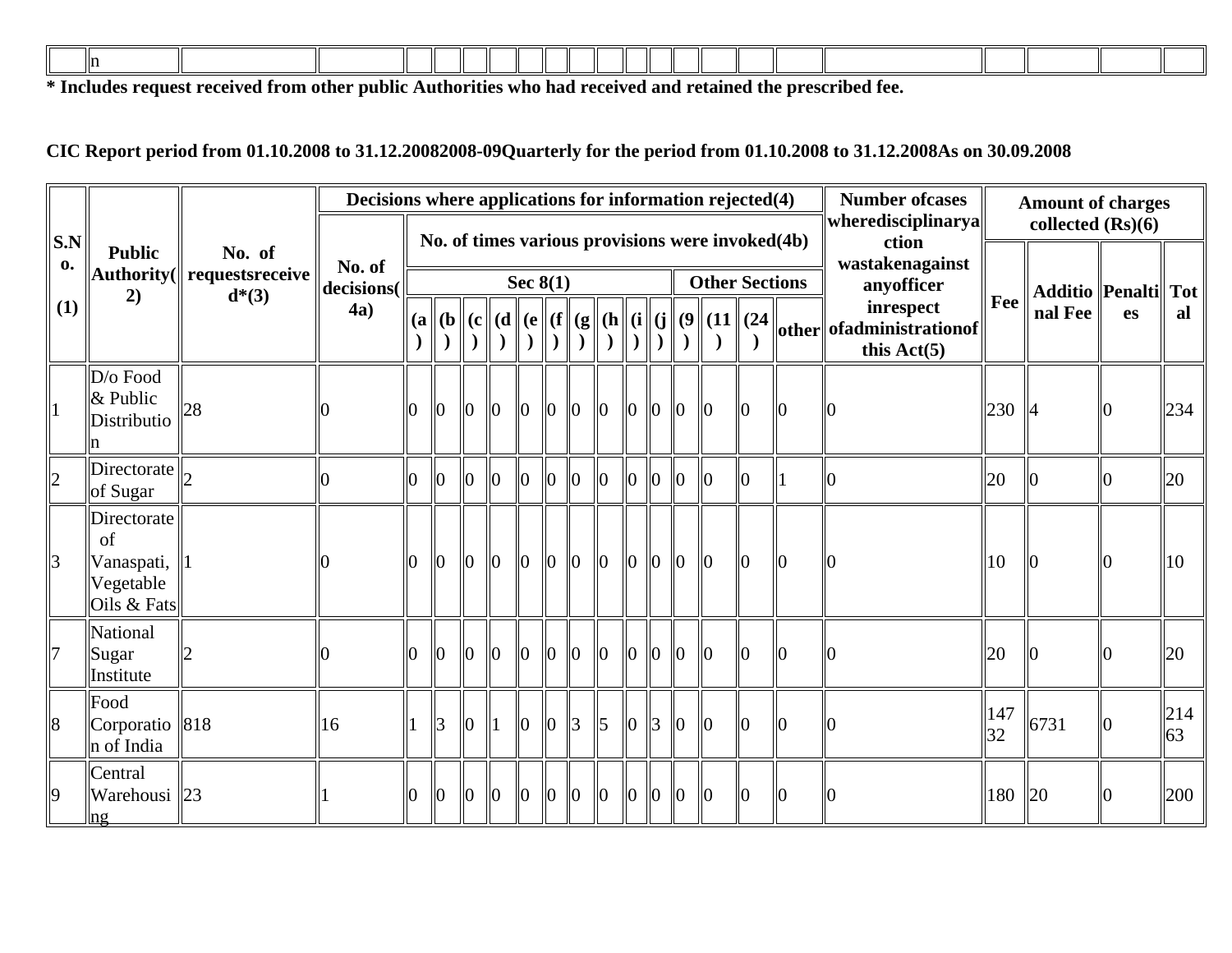| ıın |  |  |  |  |  |  |  |  |  |  |  |
|-----|--|--|--|--|--|--|--|--|--|--|--|
|     |  |  |  |  |  |  |  |  |  |  |  |

**\* Includes request received from other public Authorities who had received and retained the prescribed fee.**

**CIC Report period from 01.10.2008 to 31.12.20082008-09Quarterly for the period from 01.10.2008 to 31.12.2008As on 30.09.2008** 

|                           |                                                             |                                                   | Decisions where applications for information rejected(4) |                 |                |                |                |                |                |                          |                      |                      |                               |                 |                |                                                                           | <b>Number ofcases</b><br>wheredisciplinarya                                                                                                    |           | <b>Amount of charges</b><br>collected $(Rs)(6)$ |     |           |
|---------------------------|-------------------------------------------------------------|---------------------------------------------------|----------------------------------------------------------|-----------------|----------------|----------------|----------------|----------------|----------------|--------------------------|----------------------|----------------------|-------------------------------|-----------------|----------------|---------------------------------------------------------------------------|------------------------------------------------------------------------------------------------------------------------------------------------|-----------|-------------------------------------------------|-----|-----------|
| $\vert$ S.N $\vert$<br>0. | <b>Public</b><br>2)                                         | No. of<br>Authority(   requestsreceive<br>$d*(3)$ | No. of<br>decisions(                                     |                 |                |                | Sec $8(1)$     |                |                |                          |                      |                      |                               |                 |                | No. of times various provisions were invoked(4b)<br><b>Other Sections</b> | ction<br>wastakenagainst<br>anyofficer                                                                                                         |           | Additio    Penalti   Tot                        |     |           |
| (1)                       |                                                             |                                                   | 4a)                                                      |                 |                |                | $\lambda$      |                |                |                          |                      |                      |                               |                 |                |                                                                           | inrespect<br>(a    (b    (c    (d    (e    (f    (g    (h    (i    (j    (9    (11    (24    other    of administration of   <br>this $Act(5)$ | Fee       | nal Fee                                         | es  | al        |
|                           | D/o Food<br>& Public<br>Distributio<br>n                    | 28                                                |                                                          | $\overline{0}$  | $\overline{0}$ | $\overline{0}$ | $\parallel$ 0  | $\overline{0}$ | $\ln$          | $\overline{10}$          | $\vert$ <sub>0</sub> |                      | $\parallel$ o $\parallel$ o   | $\overline{0}$  | $\overline{0}$ |                                                                           |                                                                                                                                                | 230       |                                                 |     | 234       |
| 2                         | Directorate<br>of Sugar                                     |                                                   |                                                          | $\vert 0 \vert$ | $\overline{0}$ | $\overline{0}$ | $\overline{0}$ | $\bf{0}$       | $\overline{0}$ | $\parallel$ 0            | $ 0\rangle$          | $\parallel$ 0        | $ 0\rangle$                   |                 | Ю              |                                                                           |                                                                                                                                                | 20        | IO                                              | IO) | 20        |
| $\overline{3}$            | Directorate<br>of<br>Vanaspati,<br>Vegetable<br>Oils & Fats |                                                   |                                                          | $\mathbf{I}$    | $\overline{0}$ | $\overline{0}$ | $\parallel$ 0  | $\overline{0}$ | $\overline{a}$ | $\ 0\ $                  | $\overline{0}$       | $\vert$ <sub>0</sub> | $\vert$ 0                     | $\overline{0}$  | $\overline{0}$ |                                                                           |                                                                                                                                                | 10        |                                                 |     | 10        |
|                           | National<br>Sugar<br>Institute                              |                                                   |                                                          | $\parallel$ 0   | $\mathbf{I}$   | $\overline{0}$ | $\parallel$ 0  | $ 0\rangle$    | $\overline{0}$ | $\overline{10}$          | $\vert$ <sub>0</sub> |                      | $\ 0\ $                       | $\overline{10}$ | $\overline{0}$ | IО                                                                        |                                                                                                                                                | 20        |                                                 |     | 20        |
| $\overline{8}$            | Food<br>Corporatio<br>n of India                            | 818                                               | 16                                                       | $\parallel$ 3   | $\overline{0}$ | $\mathbf{1}$   | $\ 0\ $        | $\overline{0}$ | $\parallel$ 3  | $\parallel$ <sub>5</sub> | $\overline{0}$       | $\parallel$ 3        | $\parallel$ 0                 | $\overline{0}$  | lo             | In                                                                        |                                                                                                                                                | 147<br>32 | 6731                                            |     | 214<br>63 |
| 19                        | Central<br>Warehousi<br>$n_{\mathfrak{L}}$                  | $\parallel$ <sub>23</sub>                         |                                                          | $\overline{0}$  | $\parallel$ 0  | $\Omega$       | $\overline{0}$ | 10             | $\overline{0}$ | $\overline{0}$           | $ 0\rangle$          |                      | $\vert 0 \vert \vert 0 \vert$ | $\overline{0}$  | $\Omega$       |                                                                           |                                                                                                                                                | 180       | 20                                              |     | 200       |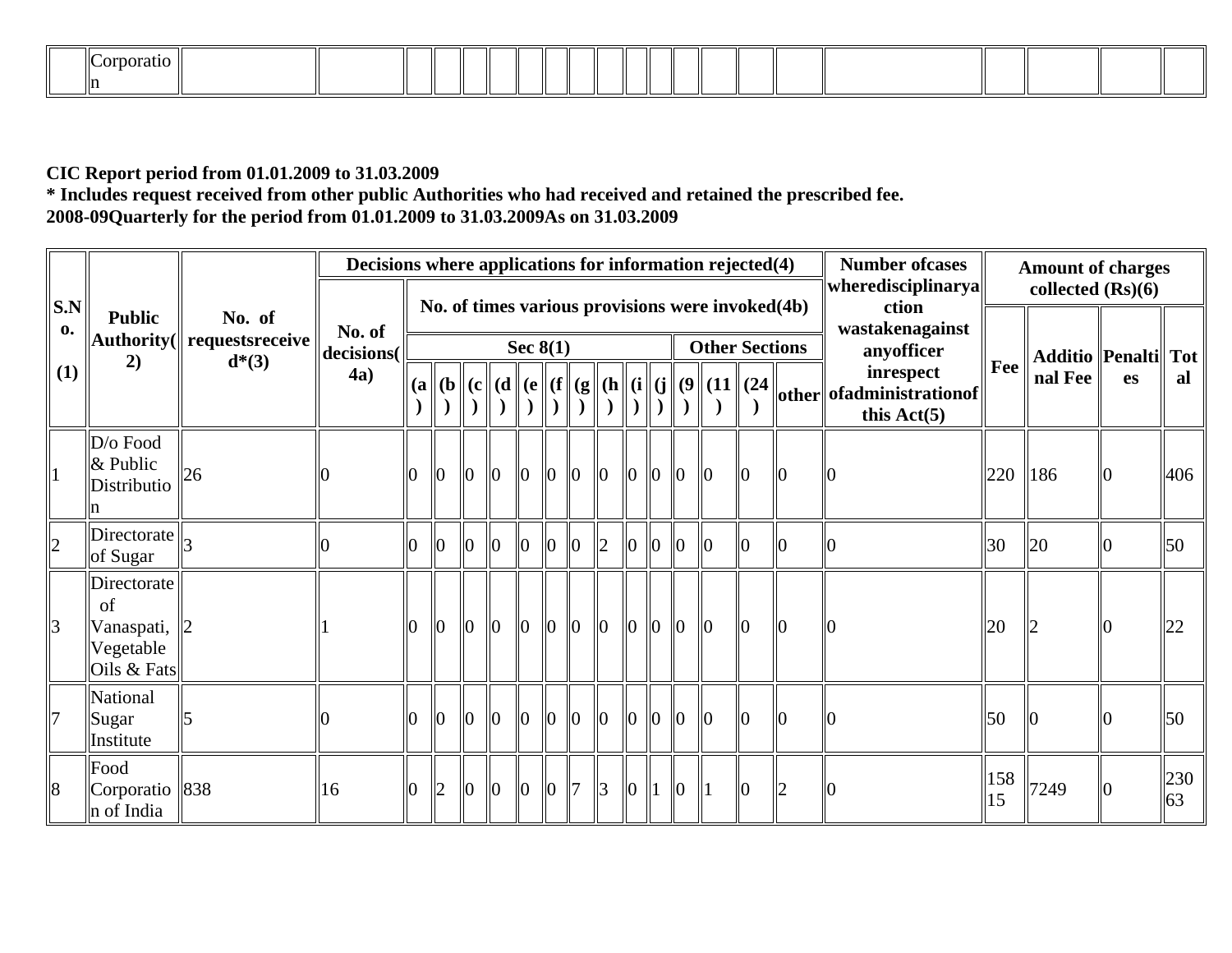| $\mathsf{L}$<br>∩+⊣<br>. |  |  |  |  |  |  |  |  |  |  |  |
|--------------------------|--|--|--|--|--|--|--|--|--|--|--|
| $\ln$                    |  |  |  |  |  |  |  |  |  |  |  |

#### **CIC Report period from 01.01.2009 to 31.03.2009**

**\* Includes request received from other public Authorities who had received and retained the prescribed fee. 2008-09Quarterly for the period from 01.01.2009 to 31.03.2009As on 31.03.2009** 

|                           |                                                             |                              | Decisions where applications for information rejected(4) |   |                |                |                |                                           |                |                |                      |                      |                 |                             |                         |                                                                               |                                                  | <b>Number ofcases</b>                                                    |           | <b>Amount of charges</b>              |    |           |
|---------------------------|-------------------------------------------------------------|------------------------------|----------------------------------------------------------|---|----------------|----------------|----------------|-------------------------------------------|----------------|----------------|----------------------|----------------------|-----------------|-----------------------------|-------------------------|-------------------------------------------------------------------------------|--------------------------------------------------|--------------------------------------------------------------------------|-----------|---------------------------------------|----|-----------|
| $\vert$ S.N $\vert$<br>0. | <b>Public</b><br><b>Authority</b> (                         | No. of<br>   requestsreceive | No. of                                                   |   |                |                |                |                                           |                |                |                      |                      |                 |                             |                         |                                                                               | No. of times various provisions were invoked(4b) | wheredisciplinarya<br>ction<br>wastakenagainst                           |           | collected $(Rs)(6)$                   |    |           |
| (1)                       | 2)                                                          | $d*(3)$                      | decisions(<br>4a)                                        |   |                |                |                | Sec $8(1)$                                |                |                |                      |                      |                 |                             |                         | (a    (b    (c    (d    (e    (f    (g    (h    (i    (j    (9    (1 1    (24 | <b>Other Sections</b>                            | anyofficer<br>inrespect<br> other  ofadministrationof  <br>this $Act(5)$ | Fee       | <b>Additio Penalti Tot</b><br>nal Fee | es | al        |
|                           | D/o Food<br>$&$ Public<br>Distributio                       | 26                           |                                                          |   | $\overline{0}$ | $\overline{0}$ | $\overline{0}$ | $ 0\rangle$                               | $\ 0\ $        |                | $\vert$ <sub>0</sub> | $\vert$ <sub>0</sub> | $\overline{10}$ | $\parallel$ 0               | $\overline{0}$          |                                                                               |                                                  |                                                                          | 220       | 186                                   |    | 406       |
| 2                         | $\left\Vert$ Directorate $\right\Vert_{2}$<br>of Sugar      |                              |                                                          |   | $\overline{0}$ | $\overline{0}$ | $\overline{0}$ | $\overline{0}$                            | $\overline{0}$ | $\mathbf{0}$   | 2                    | $\parallel$ 0        | $ 0\rangle$     | $\vert\vert$ 0              | $\vert 0 \vert$         |                                                                               |                                                  |                                                                          | 30        | 20                                    | 10 | 50        |
| 13                        | Directorate<br>of<br>Vanaspati,<br>Vegetable<br>Oils & Fats |                              |                                                          |   | $\overline{0}$ | $\overline{0}$ | $\Omega$       | $\ 0\ $ $\ 0\ $                           |                |                | $ 0\rangle$          | $\vert\vert_0$       |                 | $\vert 0 \vert 0 \vert$     | $\mathsf{I} \mathsf{I}$ | $\overline{0}$                                                                |                                                  |                                                                          | 20        |                                       |    | 22        |
|                           | National<br>Sugar<br>Institute                              |                              |                                                          |   | $\overline{0}$ | $\overline{0}$ | $\overline{0}$ | $\overline{0}$                            | $\overline{0}$ | $\vert\vert$ 0 | $ 0\rangle$          | $\vert\vert_0$       |                 | $\parallel$ 0 $\parallel$ 0 | $\mathbb{I}^0$          |                                                                               |                                                  |                                                                          | 50        |                                       |    | 50        |
| 8                         | Food<br>Corporatio 838<br>n of India                        |                              | 16                                                       | Ю | $\mathsf{I}2$  | $\overline{0}$ | $\overline{0}$ | $\parallel$ 0 $\parallel$ 0 $\parallel$ 7 |                |                | $\parallel$ 3        | $\vert\vert_0$       |                 | $\overline{0}$              |                         | IΙO                                                                           |                                                  |                                                                          | 158<br>15 | 7249                                  |    | 230<br>63 |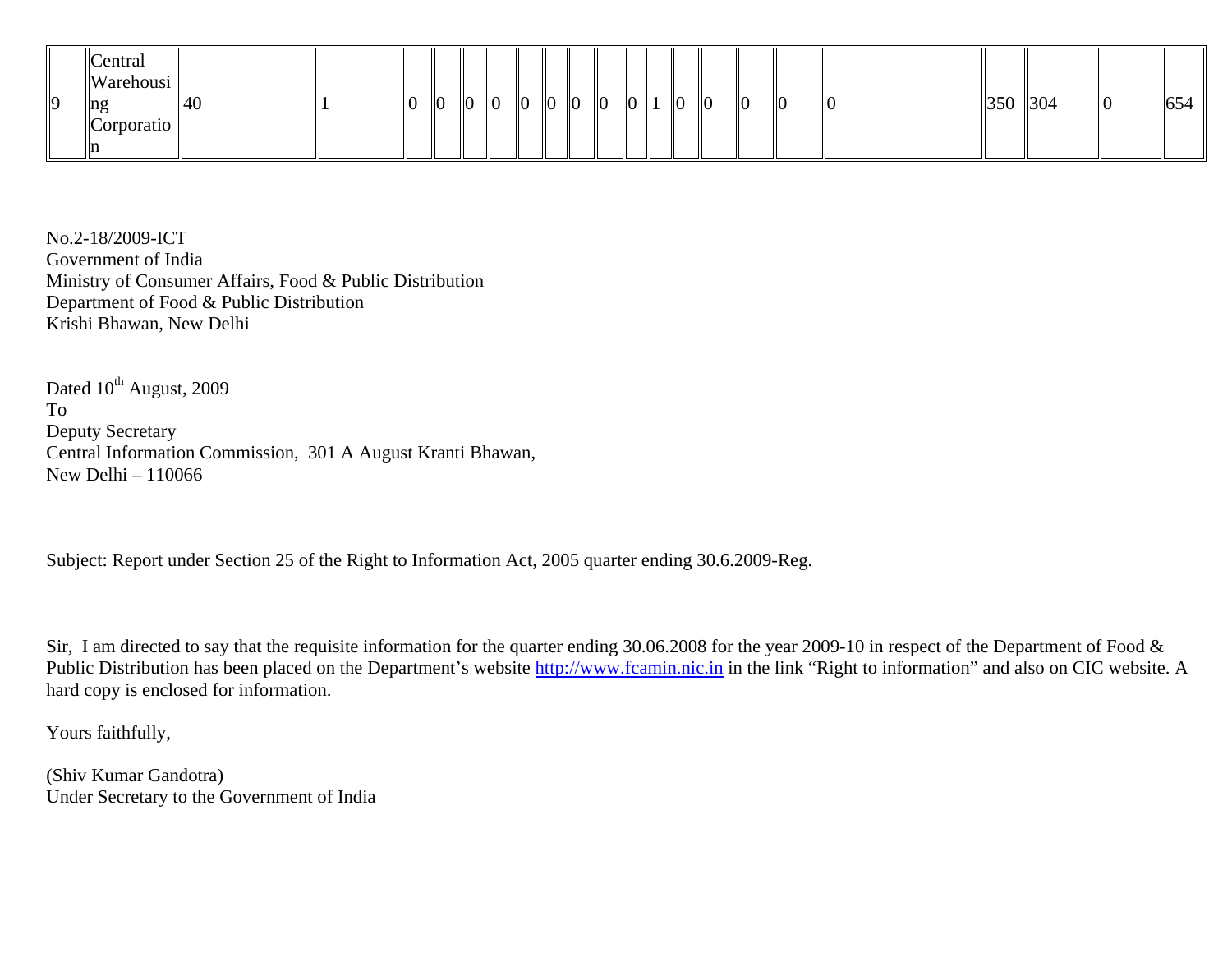| 19<br>$\ln g$<br>ш | Central<br>Warehousi<br> 40<br>Corporatio |  | 10 | $\parallel$ 0 |  | $ 0\rangle$<br>$\parallel$ 0 | $\parallel$ 0 | $\parallel$ 0 | $\parallel$ 0 | $\ 0\ $ $\ 1\ $ |  | 0 |  | $\vert$   0 | $\parallel$ 0 | $\overline{0}$ | $\parallel$ 0 | 350 | 304 | $\parallel$ 0 | 654 |
|--------------------|-------------------------------------------|--|----|---------------|--|------------------------------|---------------|---------------|---------------|-----------------|--|---|--|-------------|---------------|----------------|---------------|-----|-----|---------------|-----|
|--------------------|-------------------------------------------|--|----|---------------|--|------------------------------|---------------|---------------|---------------|-----------------|--|---|--|-------------|---------------|----------------|---------------|-----|-----|---------------|-----|

No.2-18/2009-ICT Government of India Ministry of Consumer Affairs, Food & Public Distribution Department of Food & Public Distribution Krishi Bhawan, New Delhi

Dated 10<sup>th</sup> August, 2009 To Deputy Secretary Central Information Commission, 301 A August Kranti Bhawan, New Delhi – 110066

Subject: Report under Section 25 of the Right to Information Act, 2005 quarter ending 30.6.2009-Reg.

Sir, I am directed to say that the requisite information for the quarter ending 30.06.2008 for the year 2009-10 in respect of the Department of Food & Public Distribution has been placed on the Department's website http://www.fcamin.nic.in in the link "Right to information" and also on CIC website. A hard copy is enclosed for information.

Yours faithfully,

(Shiv Kumar Gandotra) Under Secretary to the Government of India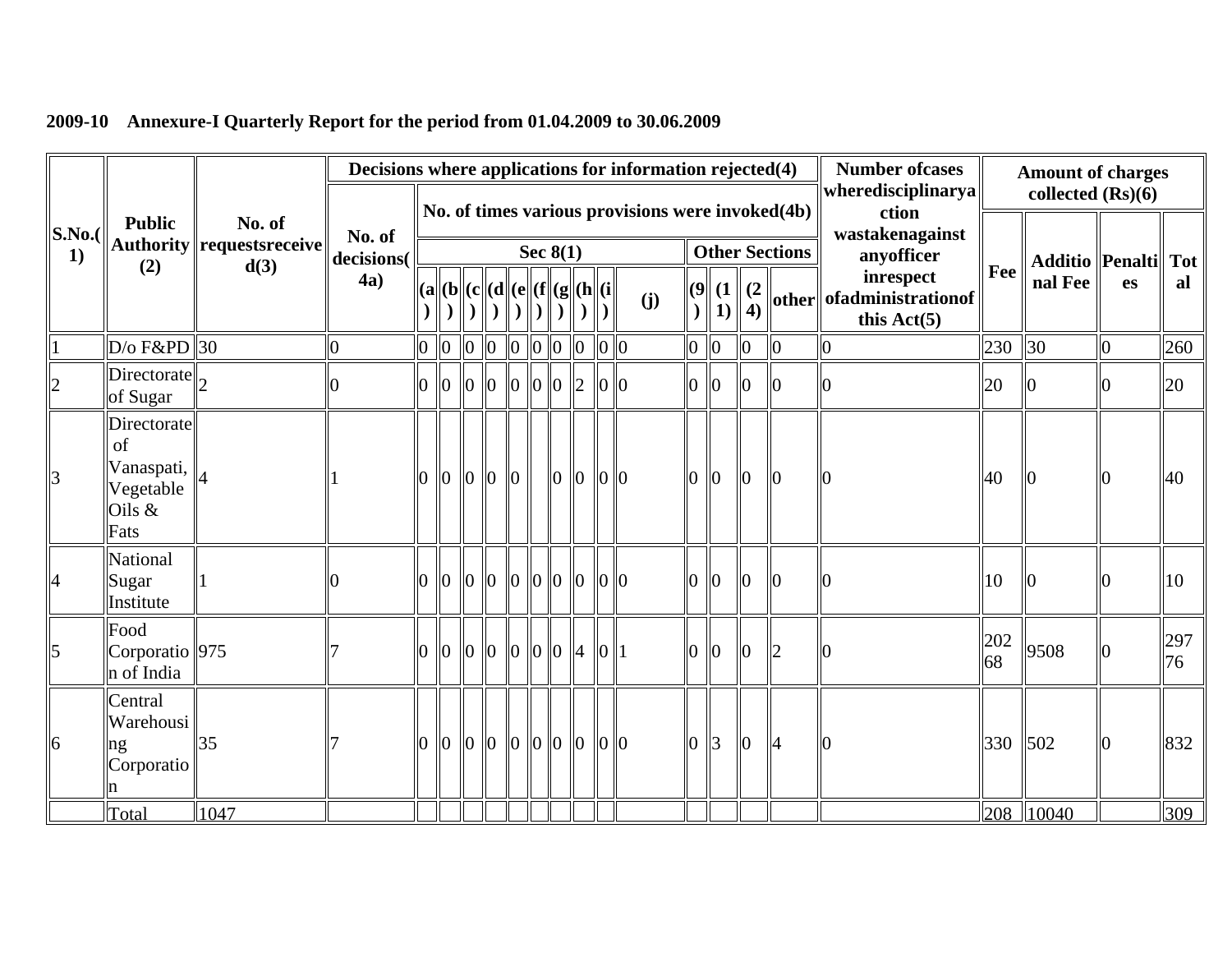|                |                                                                |                                         | Decisions where applications for information rejected(4) |                |                                                                                                                                             |                                         |                                 |               |               |                 |                |                 |                                                     |                |                           |                 |                       | <b>Number ofcases</b>                                                                                |           | <b>Amount of charges</b>              |    |           |
|----------------|----------------------------------------------------------------|-----------------------------------------|----------------------------------------------------------|----------------|---------------------------------------------------------------------------------------------------------------------------------------------|-----------------------------------------|---------------------------------|---------------|---------------|-----------------|----------------|-----------------|-----------------------------------------------------|----------------|---------------------------|-----------------|-----------------------|------------------------------------------------------------------------------------------------------|-----------|---------------------------------------|----|-----------|
| <b>S.No.</b> ( | <b>Public</b>                                                  | No. of<br>Authority    requests receive | No. of                                                   |                |                                                                                                                                             |                                         |                                 |               | Sec $8(1)$    |                 |                |                 | No. of times various provisions were invoked $(4b)$ |                |                           |                 | <b>Other Sections</b> | wheredisciplinarya<br>ction<br>wastakenagainst<br>anyofficer                                         |           | collected $(Rs)(6)$                   |    |           |
| 1)             | (2)                                                            | d(3)                                    | decisions(<br>4a)                                        |                |                                                                                                                                             |                                         |                                 |               |               |                 |                |                 | (j)                                                 |                | (9  1  <br>$\parallel$ 1) | $\frac{(2)}{4}$ |                       | inrespect<br>$\left\Vert \text{other}\right\Vert$ of administration of $\left\vert$<br>this $Act(5)$ | Fee       | <b>Additio Penalti Tot</b><br>nal Fee | es | al        |
|                | $D/\sigma$ F&PD 30                                             |                                         | 0                                                        | $\overline{0}$ | $ 0\rangle$                                                                                                                                 | $\ 0\ $ $\ 0\ $ $\ 0\ $ $\ 0\ $ $\ 0\ $ |                                 |               |               |                 |                |                 |                                                     | 0              | $\parallel$ 0             | $ 0\rangle$     | $\vert\vert$ 0        | $\bf{0}$                                                                                             | 230       | 30                                    |    | 260       |
|                | $\left  \text{Directorate} \right _{2}$<br>of Sugar            |                                         |                                                          | $\overline{0}$ | $\ 0\ $ $\ 0\ $ $\ 0\ $ $\ 0\ $ $\ 2\ $                                                                                                     |                                         |                                 |               |               |                 |                | $ 0\rangle$     |                                                     | IЮ             | $\overline{0}$            | $\vert$ 0       | $\overline{0}$        |                                                                                                      | 20        | IЮ                                    |    | 20        |
| $\overline{3}$ | Directorate<br>of<br>Vanaspati,<br>Vegetable<br>Oils &<br>Fats |                                         |                                                          | Ю              | 0                                                                                                                                           |                                         | $\overline{10}$                 | $\parallel$ 0 | $\parallel$ 0 | $\overline{10}$ | $\overline{0}$ | $\overline{10}$ |                                                     | $\overline{0}$ | llo                       | ll0             | l0                    |                                                                                                      | 40        |                                       |    | 40        |
| 4              | National<br>Sugar<br>Institute                                 |                                         |                                                          | 10             | $\parallel$ o $\parallel$ o $\parallel$ o $\parallel$ o $\parallel$ o $\parallel$ o $\parallel$ o $\parallel$ o $\parallel$ o $\parallel$ o |                                         |                                 |               |               |                 |                |                 |                                                     | $\overline{0}$ | $\vert$ <sub>0</sub>      | $\mathbf{I}$    | Ю                     |                                                                                                      | 10        | IЮ                                    |    | 10        |
| $\overline{5}$ | Food<br>Corporatio 975<br>n of India                           |                                         |                                                          | Ю              | $\ 0\ $ $\ 0\ $ $\ 0\ $ $\ 0\ $ $\ 4\ $ $\ 0\ $ 1                                                                                           |                                         |                                 |               |               |                 |                |                 |                                                     | $\bf{0}$       | $\vert 0 \vert$           | $\mathbf{I}$    | $\overline{2}$        |                                                                                                      | 202<br>68 | 9508                                  |    | 297<br>76 |
| 6              | Central<br>Warehousi<br>ng<br>Corporatio                       | 35                                      |                                                          |                | $\overline{0}$                                                                                                                              | $\overline{10}$                         | $\ 0\ $ $\ 0\ $ $\ 0\ $ $\ 0\ $ |               |               |                 |                | $\overline{10}$ |                                                     | l0             | $\vert$ 3                 | $\overline{0}$  | $\overline{4}$        |                                                                                                      | 330       | $\vert$ 502                           |    | 832       |
|                | Total                                                          | 1047                                    |                                                          |                |                                                                                                                                             |                                         |                                 |               |               |                 |                |                 |                                                     |                |                           |                 |                       |                                                                                                      |           | 208 10040                             |    | 309       |

**2009-10 Annexure-I Quarterly Report for the period from 01.04.2009 to 30.06.2009**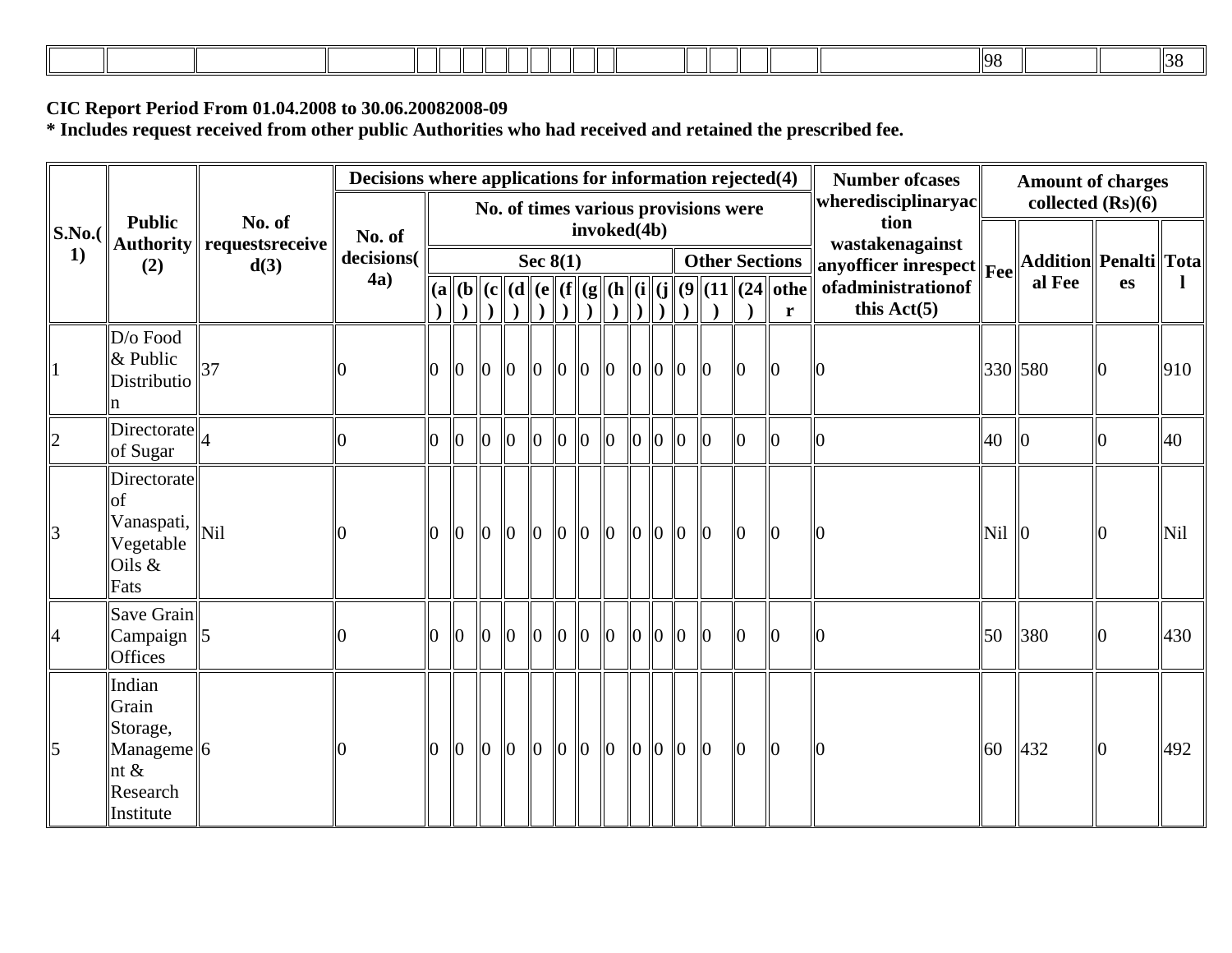### **CIC Report Period From 01.04.2008 to 30.06.20082008-09**

**\* Includes request received from other public Authorities who had received and retained the prescribed fee.** 

|             |                                                                                                     |                                      | Decisions where applications for information rejected(4) |                |                |                               |                |                 |                |                 |                      |        |                |                |                                      |                       | <b>Number ofcases</b>                                                                              |                 | <b>Amount of charges</b>        |                 |     |
|-------------|-----------------------------------------------------------------------------------------------------|--------------------------------------|----------------------------------------------------------|----------------|----------------|-------------------------------|----------------|-----------------|----------------|-----------------|----------------------|--------|----------------|----------------|--------------------------------------|-----------------------|----------------------------------------------------------------------------------------------------|-----------------|---------------------------------|-----------------|-----|
|             | <b>Public</b>                                                                                       | No. of                               |                                                          |                |                |                               |                |                 |                |                 | invoked(4b)          |        |                |                | No. of times various provisions were |                       | wheredisciplinaryac<br>tion                                                                        |                 | collected $(Rs)(6)$             |                 |     |
| S.No.<br>1) | (2)                                                                                                 | Authority    requestsreceive<br>d(3) | No. of<br>decisions(<br>4a)                              |                |                |                               |                | Sec $8(1)$      |                |                 |                      |        |                |                |                                      | <b>Other Sections</b> | wastakenagainst<br>$\left\vert \text{anyofficer inversepect} \right\vert_{\text{Fee}} \right\vert$ |                 | Addition Penalti Tota<br>al Fee |                 |     |
|             |                                                                                                     |                                      |                                                          |                |                |                               |                |                 |                |                 |                      |        |                |                |                                      |                       | ofadministrationof<br>this $Act(5)$                                                                |                 |                                 | <b>es</b>       |     |
|             | $D$ /o Food<br>$\&$ Public<br>$\ $ Distributio $\ $ <sup>37</sup><br>n                              |                                      |                                                          | $\Omega$       | $\mathbb{I}_0$ | $\ 0\ $                       |                | $\ 0\ $ $\ 0\ $ |                |                 | $\vert$ <sub>0</sub> | lo   0 | $ 0\rangle$    | $\overline{0}$ | $\mathbb{I}^0$                       | 10                    |                                                                                                    |                 | 330 580                         | $\vert 0 \vert$ | 910 |
|             | Directorate<br>of Sugar                                                                             |                                      |                                                          | IO.            | $\mathbb{I}^0$ | $\overline{0}$                | $\overline{0}$ | $\overline{0}$  | $\overline{0}$ | $\parallel$ 0   | $\overline{0}$       | 0      | 0              | $\overline{0}$ | $\Omega$                             | 10                    |                                                                                                    | $ 40\rangle$    |                                 | Ю               | 40  |
|             | Directorate<br><b>of</b><br>$\ \hat{\text{V}}\ $ vanaspati, $\ $ Nil<br>Vegetable<br>Oils &<br>Fats |                                      |                                                          | $\overline{0}$ | $\mathbb{I}^0$ | $\overline{0}$                | $\overline{0}$ | 0               |                | $\parallel$ 0   | $\parallel$ 0        | 0 0    | $\overline{0}$ | $\overline{0}$ | $\overline{0}$                       | $ 0\rangle$           | 10                                                                                                 | $Nil$ 0         |                                 | 10              | Nil |
|             | Save Grain<br>Campaign<br><b>Offices</b>                                                            |                                      |                                                          | $\Omega$       | $\mathbb{I}^0$ | $\parallel$ <sub>0</sub>      | $\mathsf{I}_0$ | $\vert 0 \vert$ | $\ 0\ $        |                 | $\vert$ <sub>0</sub> | 0      | $\overline{0}$ | $\overline{0}$ | $\overline{a}$                       | $\overline{10}$       |                                                                                                    | $\overline{50}$ | 380                             | 10              | 430 |
|             | Indian<br>Grain<br>Storage,<br>Manageme <sup>16</sup><br>$\ln x$<br>Research<br>Institute           |                                      |                                                          | $\Omega$       | $\mathsf{I}$   | $\overline{0}$ $\overline{0}$ |                | 0               |                | $\overline{10}$ | $\parallel$ 0        | 0 0    | $\Omega$       | $\overline{0}$ | $\mathsf{I}$                         | $\overline{10}$       | 10                                                                                                 | 60              | 432                             | 10              | 492 |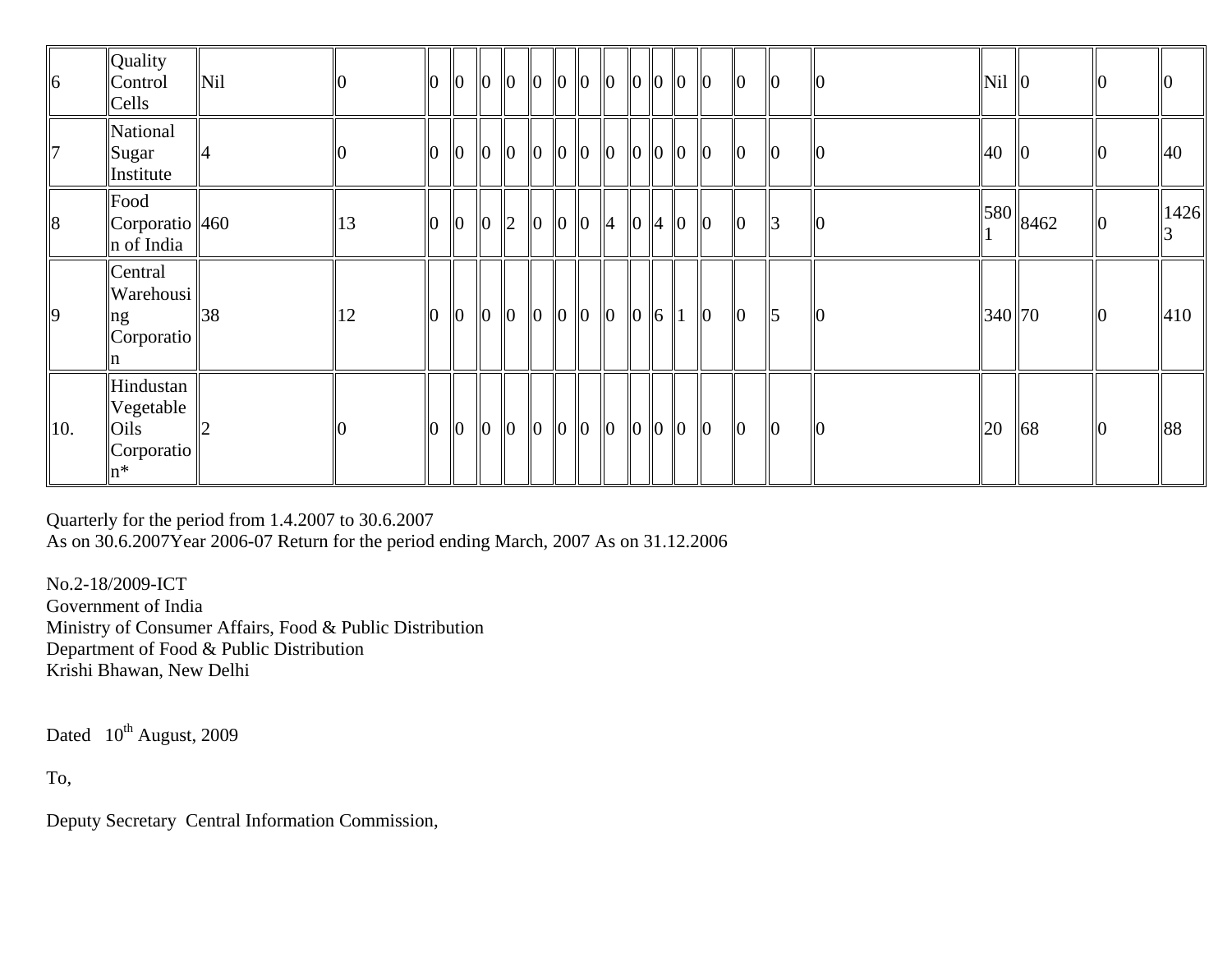| 16  | Quality<br>Control<br>Cells                           | Nil |    | $\overline{0}$ | $\overline{0}$ |         | $\ 0\ $ $\ 0\ $ $\ 0\ $ $\ 0\ $ |  |               |           | $\ 0\ $ $\ 0\ $ $\ 0\ $ |               | $ 0\rangle$   | $ 0\rangle$          | $Nil$   0 |               |      |
|-----|-------------------------------------------------------|-----|----|----------------|----------------|---------|---------------------------------|--|---------------|-----------|-------------------------|---------------|---------------|----------------------|-----------|---------------|------|
|     | National<br>Sugar<br>Institute                        |     |    | $\Omega$       | $\overline{0}$ |         | $\ 0\ 0\ 0\ 0\ 0\ 0\ $          |  |               |           | $\ 0\ $ $\ 0\ $ $\ 0\ $ |               | $ 0\rangle$   | 0                    | 40        | $\parallel 0$ | 40   |
| 18  | Food<br>$\vert$ Corporatio $\vert$ 460<br>n of India  |     | 13 | $\overline{0}$ | $\overline{0}$ |         | $\ 0\ _2\ 0\ _0$                |  | $\vert$ 4     |           | $\ 0\ $ 4 $\ 0\ $       |               | $ 0\rangle$   | $\vert$ 3            |           | $\ 580\ 8462$ | 1426 |
|     | Central<br>Warehousi<br>ng<br>Corporatio              | 38  | 12 | $\Omega$       | $\overline{0}$ | $\ 0\ $ | $\ 0\ 0\ $                      |  | $\parallel$ 0 | $\ 0\ $ 6 |                         | $\parallel$ 0 | $\parallel$ 0 | $\vert$ <sub>5</sub> | 340 70    |               | 410  |
| 10. | Hindustan<br>Vegetable<br>Oils<br>Corporatio<br>$n^*$ |     |    | $\overline{0}$ | $\overline{0}$ |         | $\ 0\ $ $\ 0\ $ $\ 0\ $ $\ 0\ $ |  |               |           | $\ 0\ 0\ $              | $\parallel$ 0 | $\parallel$ 0 | $\vert$ <sub>0</sub> | 20        | 68            | 88   |

Quarterly for the period from 1.4.2007 to 30.6.2007 As on 30.6.2007Year 2006-07 Return for the period ending March, 2007 As on 31.12.2006

No.2-18/2009-ICT Government of India Ministry of Consumer Affairs, Food & Public Distribution Department of Food & Public Distribution Krishi Bhawan, New Delhi

Dated  $10^{th}$  August, 2009

To,

Deputy Secretary Central Information Commission,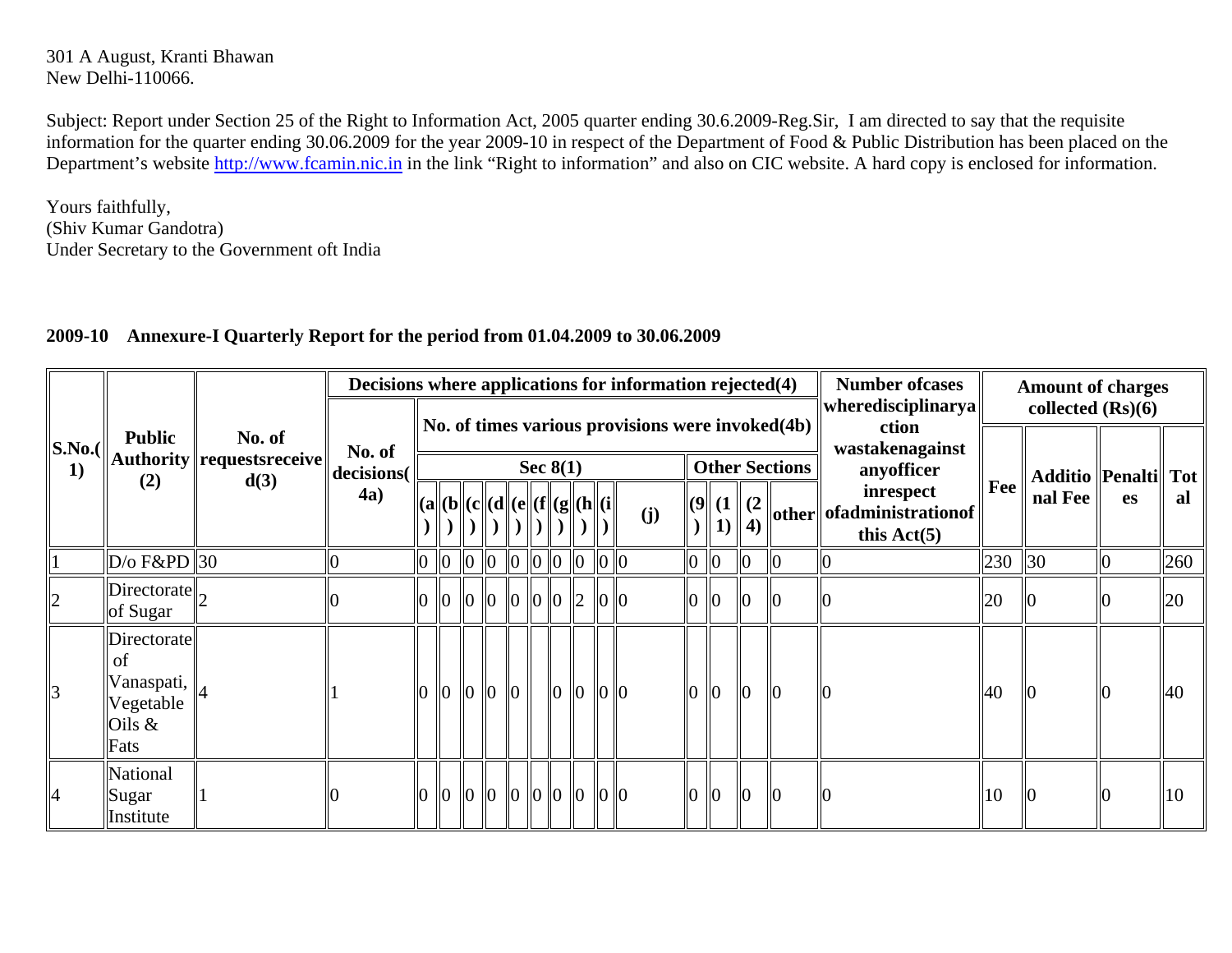301 A August, Kranti Bhawan New Delhi-110066.

Subject: Report under Section 25 of the Right to Information Act, 2005 quarter ending 30.6.2009-Reg.Sir, I am directed to say that the requisite information for the quarter ending 30.06.2009 for the year 2009-10 in respect of the Department of Food & Public Distribution has been placed on the Department's website http://www.fcamin.nic.in in the link "Right to information" and also on CIC website. A hard copy is enclosed for information.

Yours faithfully, (Shiv Kumar Gandotra) Under Secretary to the Government oft India

|       |                                                                   |                                          | Decisions where applications for information rejected(4) |                |                |                                                                                                |                |               |             |         |                                                  |   |                                                          |                |                       | <b>Number of cases</b>                                                              |     |         |                                                                                                  |               |
|-------|-------------------------------------------------------------------|------------------------------------------|----------------------------------------------------------|----------------|----------------|------------------------------------------------------------------------------------------------|----------------|---------------|-------------|---------|--------------------------------------------------|---|----------------------------------------------------------|----------------|-----------------------|-------------------------------------------------------------------------------------|-----|---------|--------------------------------------------------------------------------------------------------|---------------|
| S.No. | <b>Public</b>                                                     | No. of                                   | No. of                                                   |                |                |                                                                                                |                |               |             |         | No. of times various provisions were invoked(4b) |   |                                                          |                |                       | wheredisciplinary a<br>ction<br>wastakenagainst                                     |     |         | <b>Amount of charges</b><br>collected $(Rs)(6)$<br><b>Additio</b>    Penalti    Tot<br>es<br>IIO |               |
| 1)    | (2)                                                               | Authority    requests receive   <br>d(3) | decisions(<br>4a)                                        |                |                | $\ ({\bf a}\ ({\bf b}\ ({\bf c}\ ({\bf d}\ ({\bf e}\ ({\bf f}\ ({\bf g}\ ({\bf h}\ ({\bf i}\ $ |                | Sec $8(1)$    |             |         | (j)                                              |   | $\left  \mathbf{0}\right $ $\left( 1\right $<br>$\bf{1}$ | (2)            | <b>Other Sections</b> | anyofficer<br>inrespect<br>$\ $ other $\ $ ofadministrationof $\ $<br>this $Act(5)$ | Fee | nal Fee |                                                                                                  | al            |
|       | $\ D\ $ F&PD $\ 30$                                               |                                          |                                                          | 10             | 0 0            |                                                                                                |                | $\ 0\ 0\ 0\ $ |             | $\ 0\ $ |                                                  | 0 | $ 0\rangle$                                              | 10             | 10                    |                                                                                     | 230 | 30      |                                                                                                  | $ 260\rangle$ |
|       | Directorate<br>of Sugar                                           |                                          |                                                          |                | $\overline{0}$ | $\mathbf{I}$                                                                                   |                | 0 0           | $\parallel$ |         |                                                  |   | $\overline{0}$                                           | $\overline{0}$ |                       |                                                                                     | 20  |         |                                                                                                  | 120           |
|       | Directorate<br>of<br>Vanaspati,<br>Vegetable<br>Oils $\&$<br>Fats |                                          |                                                          | $\overline{0}$ | $ 0\rangle$    | $ 0\rangle$                                                                                    | $\overline{0}$ | $\parallel$ 0 | $ 0\rangle$ |         |                                                  |   | $\overline{0}$                                           | $\overline{0}$ |                       |                                                                                     | 40  |         |                                                                                                  | <b>140</b>    |
|       | National<br>Sugar<br>Institute                                    |                                          |                                                          | $\overline{0}$ | 0 0            |                                                                                                |                | $\ 0\ 0\ 0\ $ |             | $\ 0\ $ |                                                  |   | $\overline{0}$                                           | $\overline{0}$ |                       |                                                                                     | 10  |         |                                                                                                  | 10            |

#### 2009-10 Annexure-I Quarterly Report for the period from 01.04.2009 to 30.06.2009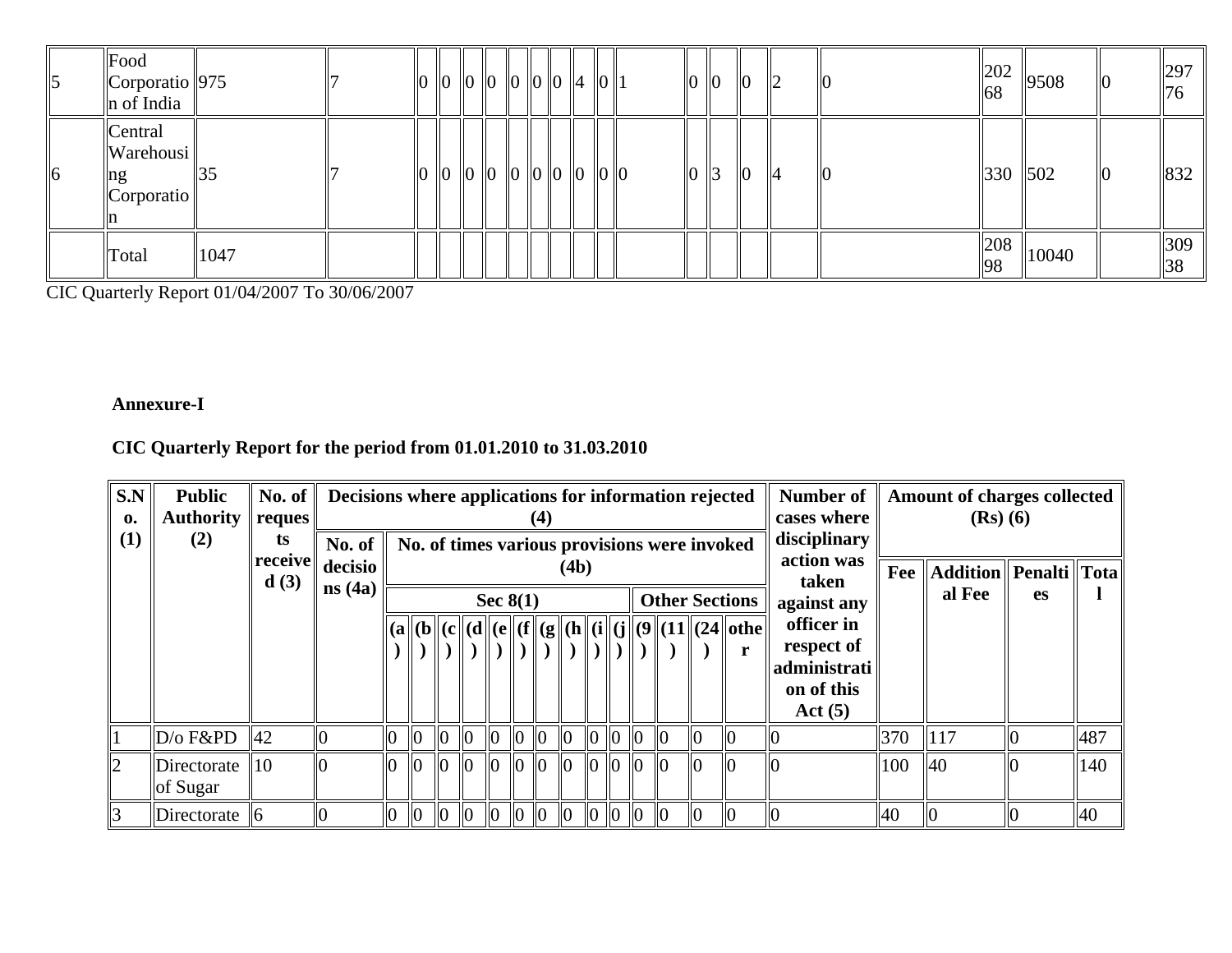| $\vert$ <sub>5</sub> | Food<br>Corporatio   975<br>  n of India   |      |  | $\parallel$ 0 $\parallel$ 0 $\parallel$ 0 $\parallel$ 0 $\parallel$ 0 $\parallel$ 4 |  |  |  | $\ 0\ $                     |  |     | $\parallel$ 0 | $\overline{0}$ | 2  | $\overline{0}$ | 202<br>68      | 9508                 | $\parallel$ 0 | 297<br>76  |
|----------------------|--------------------------------------------|------|--|-------------------------------------------------------------------------------------|--|--|--|-----------------------------|--|-----|---------------|----------------|----|----------------|----------------|----------------------|---------------|------------|
| $\ 6$                | Central<br>Warehousi<br> ng<br> Corporatio | II35 |  | $\ 0\ $ $\ 0\ $ $\ 0\ $ $\ 0\ $ $\ 0\ $                                             |  |  |  | $\parallel$ 0 $\parallel$ 0 |  | IIO | $\parallel$ 3 | $\overline{0}$ | 14 | $\parallel$ 0  | $\ 330\ 502\ $ |                      | $\parallel$ 0 | 832        |
|                      | $\vert$ Total                              | 1047 |  |                                                                                     |  |  |  |                             |  |     |               |                |    |                | 98             | $\sqrt{208}$   10040 |               | 309<br> 38 |

CIC Quarterly Report 01/04/2007 To 30/06/2007

#### **Annexure-I**

### **CIC Quarterly Report for the period from 01.01.2010 to 31.03.2010**

| S.N<br>$\mathbf{0}$<br>(1) | <b>Public</b><br><b>Authority</b><br>(2) | reques<br>ts    | No. of            | No. of $\parallel$ Decisions where applications for information rejected<br>cases where<br>(4)<br>disciplinary<br>No. of times various provisions were invoked |                 |  |                 |                |               |                |                |    |               |                                                                                   |  |                |                                                         |                                                                  |     | Number of    Amount of charges collected<br>$(Rs)$ (6) |           |     |
|----------------------------|------------------------------------------|-----------------|-------------------|----------------------------------------------------------------------------------------------------------------------------------------------------------------|-----------------|--|-----------------|----------------|---------------|----------------|----------------|----|---------------|-----------------------------------------------------------------------------------|--|----------------|---------------------------------------------------------|------------------------------------------------------------------|-----|--------------------------------------------------------|-----------|-----|
|                            |                                          | receive<br>d(3) | decisio<br>ns(4a) |                                                                                                                                                                |                 |  |                 |                | Sec $8(1)$    |                | (4b)           |    |               |                                                                                   |  |                | <b>Other Sections</b>                                   | action was<br>taken<br>against any                               | Fee | <b>Addition   Penalti   Tota  </b><br>al Fee           | <b>es</b> |     |
|                            |                                          |                 |                   |                                                                                                                                                                |                 |  |                 |                |               |                |                |    |               |                                                                                   |  |                | (a  (b  c  (d  c  f  (g  (h  (i  (j  (9  (11  (24  othe | officer in<br>respect of<br>administrati<br>on of this<br>Act(5) |     |                                                        |           |     |
|                            | $D/O$ F&PD                               | 42              |                   |                                                                                                                                                                | $\parallel$ 0   |  | $\parallel$ 0   |                | $\mathbf{I}$  | $\overline{0}$ | $\overline{0}$ | 10 | $\parallel$ 0 | $\parallel$ 0                                                                     |  | $\overline{0}$ |                                                         |                                                                  | 370 | 117                                                    |           | 487 |
| $\overline{2}$             | Directorate<br>of Sugar                  | $\parallel$ 10  |                   |                                                                                                                                                                | $\overline{10}$ |  | $\overline{10}$ |                | $\parallel$ 0 | $\parallel$ 0  | $\parallel$ 0  |    |               | $\parallel$ o $\parallel$ o $\parallel$ o $\parallel$ o $\parallel$ o $\parallel$ |  | $\overline{0}$ |                                                         | lЮ                                                               | 100 | 40                                                     |           | 140 |
|                            | Directorate                              |                 |                   |                                                                                                                                                                | $\mathsf{I}$ 10 |  | $\parallel$ 0   | $\mathbb{I}^0$ | $\mathbf{I}$  | $\parallel$ 0  | $\parallel$ 0  |    | $\mathbf{I}$  | $\overline{10}$                                                                   |  |                |                                                         |                                                                  | 40  |                                                        |           | 40  |